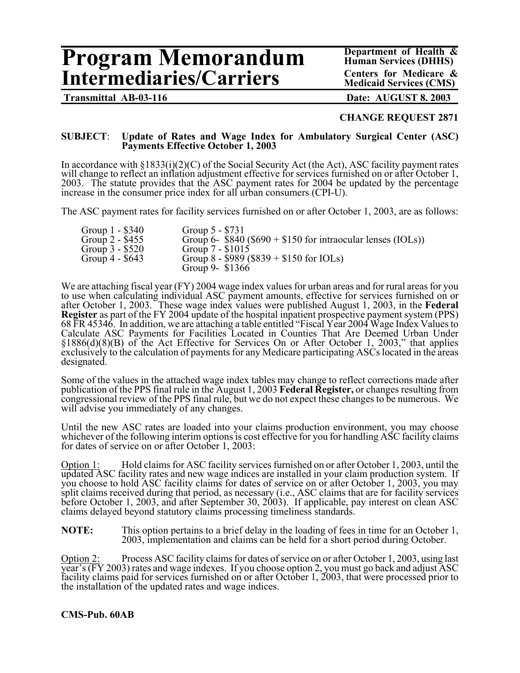# **Program Memorandum** Department of Health & <br> **Program Memorandum** Human Services (DHHS)<br> **Centers for Medicare & Intermediaries/Carriers**

**Human Services (DHHS) Medicaid Services (CMS)**

**Transmittal AB-03-116 Date: AUGUST 8, 2003**

### **CHANGE REQUEST 2871**

#### **SUBJECT**: **Update of Rates and Wage Index for Ambulatory Surgical Center (ASC) Payments Effective October 1, 2003**

In accordance with  $\S 1833(i)(2)(C)$  of the Social Security Act (the Act), ASC facility payment rates will change to reflect an inflation adjustment effective for services furnished on or after October 1, 2003. The statute provides that the ASC payment rates for 2004 be updated by the percentage increase in the consumer price index for all urban consumers (CPI-U).

The ASC payment rates for facility services furnished on or after October 1, 2003, are as follows:

| Group 1 - \$340<br>Group $2 - $455$ | Group $5 - $731$<br>Group 6- $$840 ($690 + $150$ for intraocular lenses (IOLs)) |
|-------------------------------------|---------------------------------------------------------------------------------|
| Group $3 - $520$                    | Group $7 - $1015$                                                               |
| Group $4 - $643$                    | Group 8 - \$989 (\$839 + \$150 for IOLs)                                        |
|                                     | Group 9- \$1366                                                                 |

We are attaching fiscal year (FY) 2004 wage index values for urban areas and for rural areas for you to use when calculating individual ASC payment amounts, effective for services furnished on or after October 1, 2003. These wage index values were published August 1, 2003, in the **Federal Register** as part of the FY 2004 update of the hospital inpatient prospective payment system (PPS) 68 FR 45346. In addition, we are attaching a table entitled "Fiscal Year 2004 Wage Index Values to Calculate ASC Payments for Facilities Located in Counties That Are Deemed Urban Under §1886(d)(8)(B) of the Act Effective for Services On or After October 1, 2003," that applies exclusively to the calculation of payments for any Medicare participating ASCs located in the areas designated.

Some of the values in the attached wage index tables may change to reflect corrections made after publication of the PPS final rule in the August 1, 2003 **Federal Register,** or changes resulting from congressional review of the PPS final rule, but we do not expect these changes to be numerous. We will advise you immediately of any changes.

Until the new ASC rates are loaded into your claims production environment, you may choose whichever of the following interim options is cost effective for you for handling ASC facility claims for dates of service on or after October 1, 2003:

Option 1: Hold claims for ASC facility services furnished on or after October 1, 2003, until the updated ASC facility rates and new wage indices are installed in your claim production system. If you choose to hold ASC facility claims for dates of service on or after October 1, 2003, you may split claims received during that period, as necessary (i.e., ASC claims that are for facility services before October 1, 2003, and after September 30, 2003). If applicable, pay interest on clean ASC claims delayed beyond statutory claims processing timeliness standards.

**NOTE:** This option pertains to a brief delay in the loading of fees in time for an October 1, 2003, implementation and claims can be held for a short period during October.

Option 2: Process ASC facility claims for dates of service on or after October 1, 2003, using last year's (FY 2003) rates and wage indexes. If you choose option 2, you must go back and adjust ASC facility claims paid for services furnished on or after October 1, 2003, that were processed prior to the installation of the updated rates and wage indices.

#### **CMS-Pub. 60AB**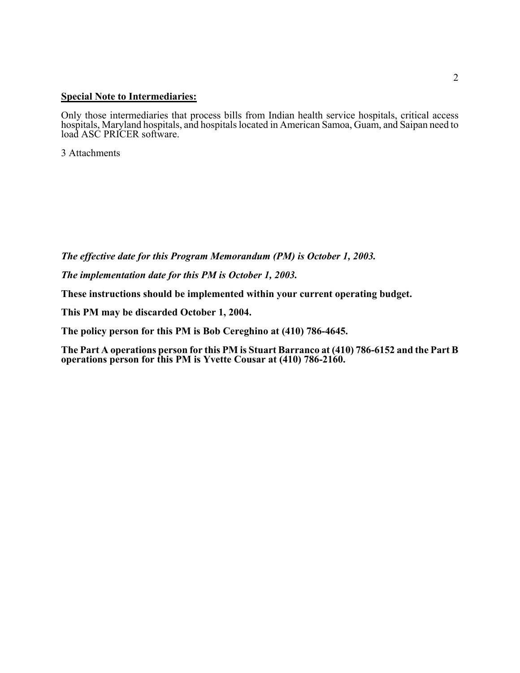#### **Special Note to Intermediaries:**

Only those intermediaries that process bills from Indian health service hospitals, critical access hospitals, Maryland hospitals, and hospitals located in American Samoa, Guam, and Saipan need to load ASC PRICER software.

3 Attachments

*The effective date for this Program Memorandum (PM) is October 1, 2003.*

*The implementation date for this PM is October 1, 2003.*

**These instructions should be implemented within your current operating budget.** 

**This PM may be discarded October 1, 2004.** 

**The policy person for this PM is Bob Cereghino at (410) 786-4645.** 

**The Part A operations person for this PM is Stuart Barranco at (410) 786-6152 and the Part B operations person for this PM is Yvette Cousar at (410) 786-2160.**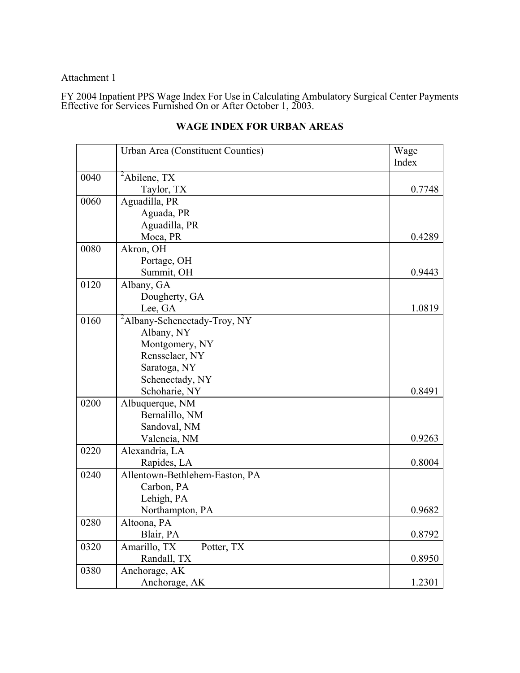## Attachment 1

FY 2004 Inpatient PPS Wage Index For Use in Calculating Ambulatory Surgical Center Payments Effective for Services Furnished On or After October 1, 2003.

|      | Urban Area (Constituent Counties)        | Wage   |
|------|------------------------------------------|--------|
|      |                                          | Index  |
| 0040 | ${}^{2}$ Abilene, TX                     |        |
|      | Taylor, TX                               | 0.7748 |
| 0060 | Aguadilla, PR                            |        |
|      | Aguada, PR                               |        |
|      | Aguadilla, PR                            |        |
|      | Moca, PR                                 | 0.4289 |
| 0080 | Akron, OH                                |        |
|      | Portage, OH                              |        |
|      | Summit, OH                               | 0.9443 |
| 0120 | Albany, GA                               |        |
|      | Dougherty, GA                            |        |
|      | Lee, GA                                  | 1.0819 |
| 0160 | <sup>2</sup> Albany-Schenectady-Troy, NY |        |
|      | Albany, NY                               |        |
|      | Montgomery, NY                           |        |
|      | Rensselaer, NY                           |        |
|      | Saratoga, NY                             |        |
|      | Schenectady, NY                          |        |
|      | Schoharie, NY                            | 0.8491 |
| 0200 | Albuquerque, NM                          |        |
|      | Bernalillo, NM                           |        |
|      | Sandoval, NM                             |        |
|      | Valencia, NM                             | 0.9263 |
| 0220 | Alexandria, LA                           |        |
|      | Rapides, LA                              | 0.8004 |
| 0240 | Allentown-Bethlehem-Easton, PA           |        |
|      | Carbon, PA                               |        |
|      | Lehigh, PA                               |        |
|      | Northampton, PA                          | 0.9682 |
| 0280 | Altoona, PA                              |        |
|      | Blair, PA                                | 0.8792 |
| 0320 | Amarillo, TX<br>Potter, TX               |        |
|      | Randall, TX                              | 0.8950 |
| 0380 | Anchorage, AK                            |        |
|      | Anchorage, AK                            | 1.2301 |

## **WAGE INDEX FOR URBAN AREAS**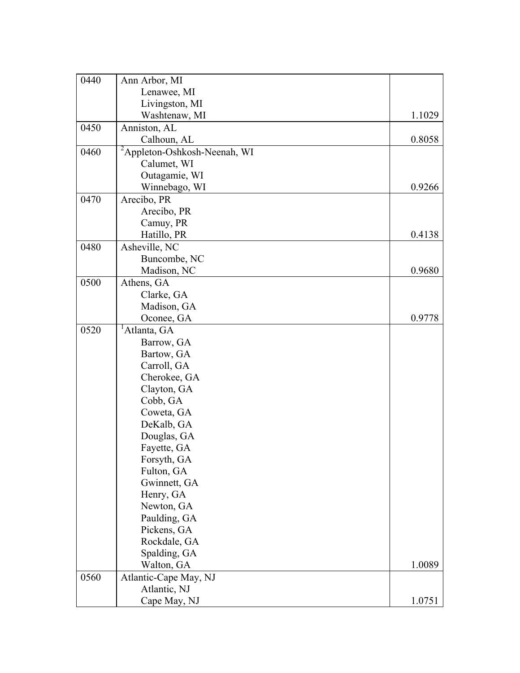| 0440 | Ann Arbor, MI                             |        |
|------|-------------------------------------------|--------|
|      | Lenawee, MI                               |        |
|      | Livingston, MI                            |        |
|      | Washtenaw, MI                             | 1.1029 |
| 0450 | Anniston, AL                              |        |
|      | Calhoun, AL                               | 0.8058 |
| 0460 | $\sqrt[2]{2}$ Appleton-Oshkosh-Neenah, WI |        |
|      | Calumet, WI                               |        |
|      | Outagamie, WI                             |        |
|      | Winnebago, WI                             | 0.9266 |
| 0470 | Arecibo, PR                               |        |
|      | Arecibo, PR                               |        |
|      | Camuy, PR                                 |        |
|      | Hatillo, PR                               | 0.4138 |
| 0480 | Asheville, NC                             |        |
|      | Buncombe, NC                              |        |
|      | Madison, NC                               | 0.9680 |
| 0500 | Athens, GA                                |        |
|      | Clarke, GA                                |        |
|      | Madison, GA                               |        |
|      | Oconee, GA                                | 0.9778 |
| 0520 | <sup>1</sup> Atlanta, GA                  |        |
|      | Barrow, GA                                |        |
|      | Bartow, GA                                |        |
|      | Carroll, GA                               |        |
|      | Cherokee, GA                              |        |
|      | Clayton, GA                               |        |
|      | Cobb, GA                                  |        |
|      | Coweta, GA                                |        |
|      | DeKalb, GA                                |        |
|      | Douglas, GA                               |        |
|      | Fayette, GA                               |        |
|      | Forsyth, GA                               |        |
|      | Fulton, GA                                |        |
|      | Gwinnett, GA                              |        |
|      | Henry, GA                                 |        |
|      | Newton, GA                                |        |
|      | Paulding, GA                              |        |
|      | Pickens, GA                               |        |
|      | Rockdale, GA                              |        |
|      | Spalding, GA                              |        |
|      | Walton, GA                                | 1.0089 |
| 0560 | Atlantic-Cape May, NJ                     |        |
|      | Atlantic, NJ                              |        |
|      | Cape May, NJ                              | 1.0751 |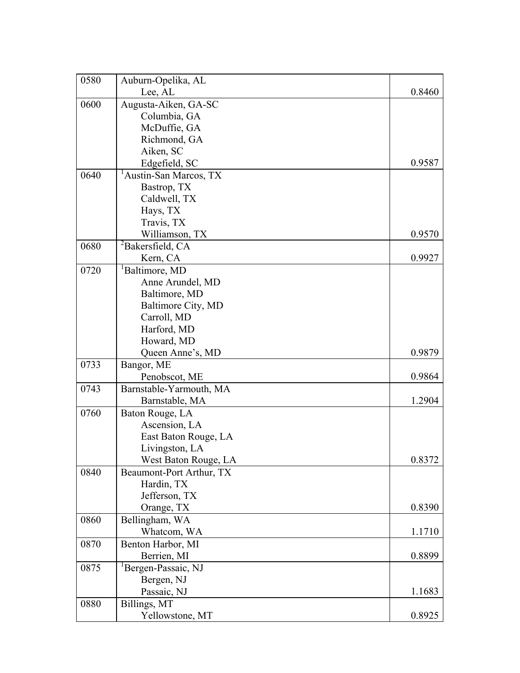| 0580 | Auburn-Opelika, AL                 |        |
|------|------------------------------------|--------|
|      | Lee, AL                            | 0.8460 |
| 0600 | Augusta-Aiken, GA-SC               |        |
|      | Columbia, GA                       |        |
|      | McDuffie, GA                       |        |
|      | Richmond, GA                       |        |
|      | Aiken, SC                          |        |
|      | Edgefield, SC                      | 0.9587 |
| 0640 | <sup>1</sup> Austin-San Marcos, TX |        |
|      | Bastrop, TX                        |        |
|      | Caldwell, TX                       |        |
|      | Hays, TX                           |        |
|      | Travis, TX                         |        |
|      | Williamson, TX                     | 0.9570 |
| 0680 | <sup>2</sup> Bakersfield, CA       |        |
|      | Kern, CA                           | 0.9927 |
| 0720 | <sup>1</sup> Baltimore, MD         |        |
|      | Anne Arundel, MD                   |        |
|      | Baltimore, MD                      |        |
|      | Baltimore City, MD                 |        |
|      | Carroll, MD                        |        |
|      | Harford, MD                        |        |
|      | Howard, MD                         |        |
|      | Queen Anne's, MD                   | 0.9879 |
| 0733 | Bangor, ME                         |        |
|      | Penobscot, ME                      | 0.9864 |
| 0743 | Barnstable-Yarmouth, MA            |        |
|      | Barnstable, MA                     | 1.2904 |
| 0760 | Baton Rouge, LA                    |        |
|      | Ascension, LA                      |        |
|      | East Baton Rouge, LA               |        |
|      | Livingston, LA                     |        |
|      | West Baton Rouge, LA               | 0.8372 |
| 0840 | Beaumont-Port Arthur, TX           |        |
|      | Hardin, TX                         |        |
|      | Jefferson, TX                      |        |
|      | Orange, TX                         | 0.8390 |
| 0860 | Bellingham, WA                     |        |
|      | Whatcom, WA                        | 1.1710 |
| 0870 | Benton Harbor, MI                  |        |
|      | Berrien, MI                        | 0.8899 |
| 0875 | Bergen-Passaic, NJ                 |        |
|      | Bergen, NJ                         |        |
|      | Passaic, NJ                        | 1.1683 |
| 0880 | Billings, MT                       |        |
|      | Yellowstone, MT                    | 0.8925 |
|      |                                    |        |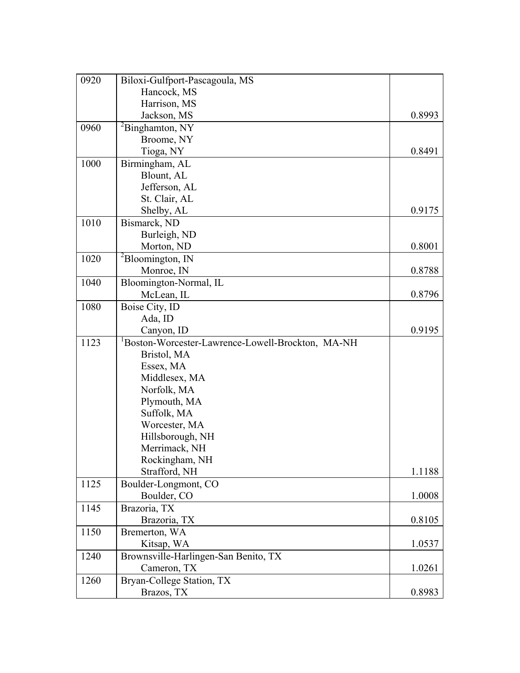| 0920 | Biloxi-Gulfport-Pascagoula, MS                   |        |
|------|--------------------------------------------------|--------|
|      | Hancock, MS                                      |        |
|      | Harrison, MS                                     |        |
|      | Jackson, MS                                      | 0.8993 |
| 0960 | ${}^{2}$ Binghamton, NY                          |        |
|      | Broome, NY                                       |        |
|      | Tioga, NY                                        | 0.8491 |
| 1000 | Birmingham, AL                                   |        |
|      | Blount, AL                                       |        |
|      | Jefferson, AL                                    |        |
|      | St. Clair, AL                                    |        |
|      | Shelby, AL                                       | 0.9175 |
| 1010 | Bismarck, ND                                     |        |
|      | Burleigh, ND                                     |        |
|      | Morton, ND                                       | 0.8001 |
| 1020 | ${}^{2}$ Bloomington, IN                         |        |
|      | Monroe, IN                                       | 0.8788 |
| 1040 | Bloomington-Normal, IL                           |        |
|      | McLean, IL                                       | 0.8796 |
| 1080 | Boise City, ID                                   |        |
|      | Ada, ID                                          |        |
|      | Canyon, ID                                       | 0.9195 |
| 1123 | Boston-Worcester-Lawrence-Lowell-Brockton, MA-NH |        |
|      | Bristol, MA                                      |        |
|      | Essex, MA                                        |        |
|      | Middlesex, MA                                    |        |
|      | Norfolk, MA                                      |        |
|      | Plymouth, MA                                     |        |
|      | Suffolk, MA                                      |        |
|      | Worcester, MA                                    |        |
|      | Hillsborough, NH                                 |        |
|      | Merrimack, NH                                    |        |
|      | Rockingham, NH                                   |        |
|      | Strafford, NH                                    | 1.1188 |
| 1125 | Boulder-Longmont, CO                             |        |
|      | Boulder, CO                                      | 1.0008 |
| 1145 | Brazoria, TX                                     |        |
|      | Brazoria, TX                                     | 0.8105 |
| 1150 | Bremerton, WA                                    |        |
|      | Kitsap, WA                                       | 1.0537 |
| 1240 | Brownsville-Harlingen-San Benito, TX             |        |
|      | Cameron, TX                                      | 1.0261 |
| 1260 | Bryan-College Station, TX                        |        |
|      | Brazos, TX                                       | 0.8983 |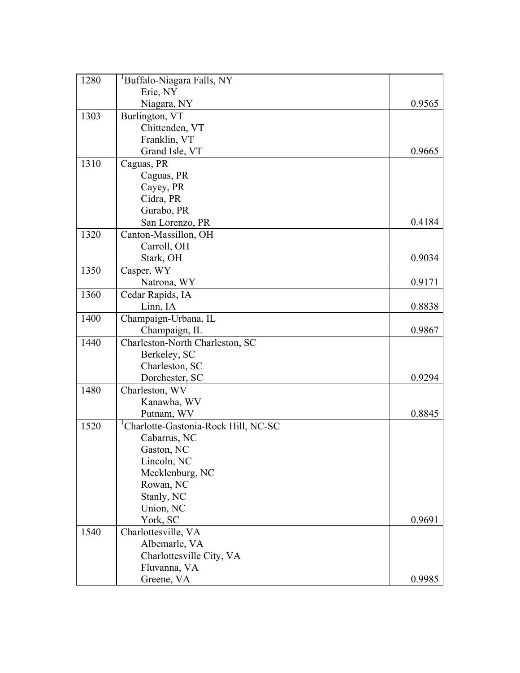| 1280 | <sup>1</sup> Buffalo-Niagara Falls, NY           |        |
|------|--------------------------------------------------|--------|
|      | Erie, NY                                         |        |
|      | Niagara, NY                                      | 0.9565 |
| 1303 | Burlington, VT                                   |        |
|      | Chittenden, VT                                   |        |
|      | Franklin, VT                                     |        |
|      | Grand Isle, VT                                   | 0.9665 |
| 1310 | Caguas, PR                                       |        |
|      | Caguas, PR                                       |        |
|      | Cayey, PR                                        |        |
|      | Cidra, PR                                        |        |
|      | Gurabo, PR                                       |        |
|      | San Lorenzo, PR                                  | 0.4184 |
| 1320 | Canton-Massillon, OH                             |        |
|      | Carroll, OH                                      |        |
|      | Stark, OH                                        | 0.9034 |
| 1350 | Casper, WY                                       |        |
|      | Natrona, WY                                      | 0.9171 |
| 1360 | Cedar Rapids, IA                                 |        |
|      | Linn, IA                                         | 0.8838 |
| 1400 | Champaign-Urbana, IL                             |        |
|      | Champaign, IL                                    | 0.9867 |
| 1440 | Charleston-North Charleston, SC                  |        |
|      | Berkeley, SC                                     |        |
|      | Charleston, SC                                   |        |
|      | Dorchester, SC                                   | 0.9294 |
| 1480 | Charleston, WV                                   |        |
|      | Kanawha, WV                                      |        |
|      | Putnam, WV                                       | 0.8845 |
| 1520 | <sup>1</sup> Charlotte-Gastonia-Rock Hill, NC-SC |        |
|      | Cabarrus, NC                                     |        |
|      | Gaston, NC                                       |        |
|      | Lincoln, NC                                      |        |
|      | Mecklenburg, NC                                  |        |
|      | Rowan, NC                                        |        |
|      | Stanly, NC                                       |        |
|      | Union, NC                                        |        |
|      | York, SC                                         | 0.9691 |
| 1540 | Charlottesville, VA                              |        |
|      | Albemarle, VA                                    |        |
|      | Charlottesville City, VA                         |        |
|      | Fluvanna, VA                                     |        |
|      | Greene, VA                                       | 0.9985 |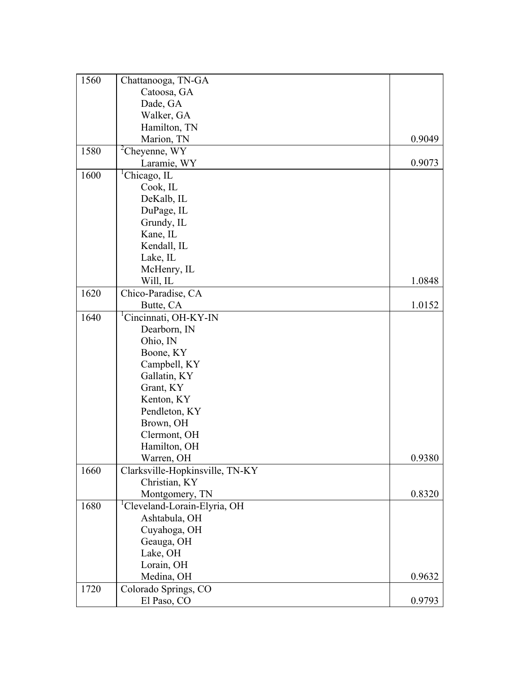| 1560 | Chattanooga, TN-GA                       |        |
|------|------------------------------------------|--------|
|      | Catoosa, GA                              |        |
|      | Dade, GA                                 |        |
|      | Walker, GA                               |        |
|      | Hamilton, TN                             |        |
|      | Marion, TN                               | 0.9049 |
| 1580 | ${}^{2}$ Cheyenne, WY                    |        |
|      | Laramie, WY                              | 0.9073 |
| 1600 | Chicago, IL                              |        |
|      | Cook, IL                                 |        |
|      | DeKalb, IL                               |        |
|      | DuPage, IL                               |        |
|      | Grundy, IL                               |        |
|      | Kane, IL                                 |        |
|      | Kendall, IL                              |        |
|      | Lake, IL                                 |        |
|      | McHenry, IL                              |        |
|      | Will, IL                                 | 1.0848 |
| 1620 | Chico-Paradise, CA                       |        |
|      | Butte, CA                                | 1.0152 |
| 1640 | <sup>1</sup> Cincinnati, OH-KY-IN        |        |
|      | Dearborn, IN                             |        |
|      | Ohio, IN                                 |        |
|      | Boone, KY                                |        |
|      | Campbell, KY                             |        |
|      | Gallatin, KY                             |        |
|      | Grant, KY                                |        |
|      | Kenton, KY                               |        |
|      | Pendleton, KY                            |        |
|      | Brown, OH                                |        |
|      | Clermont, OH                             |        |
|      | Hamilton, OH                             |        |
|      | Warren, OH                               | 0.9380 |
| 1660 | Clarksville-Hopkinsville, TN-KY          |        |
|      | Christian, KY                            |        |
|      | Montgomery, TN                           | 0.8320 |
| 1680 | <sup>1</sup> Cleveland-Lorain-Elyria, OH |        |
|      | Ashtabula, OH                            |        |
|      | Cuyahoga, OH                             |        |
|      | Geauga, OH                               |        |
|      | Lake, OH                                 |        |
|      | Lorain, OH                               |        |
|      | Medina, OH                               | 0.9632 |
| 1720 | Colorado Springs, CO                     |        |
|      | El Paso, CO                              | 0.9793 |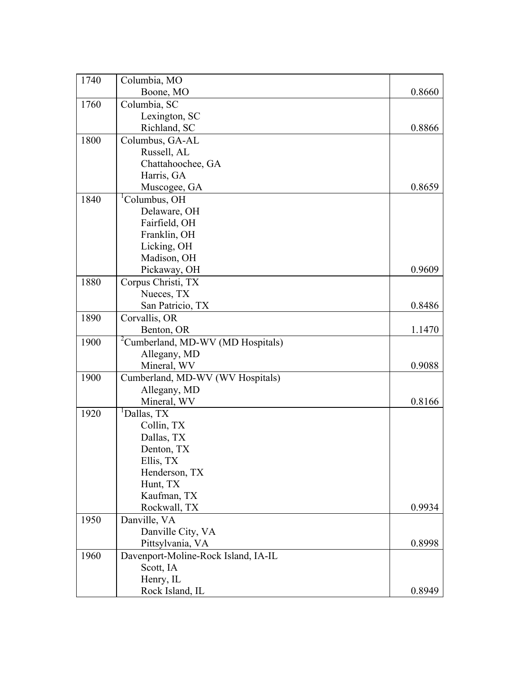| 1740 | Columbia, MO                                  |        |
|------|-----------------------------------------------|--------|
|      | Boone, MO                                     | 0.8660 |
| 1760 | Columbia, SC                                  |        |
|      | Lexington, SC                                 |        |
|      | Richland, SC                                  | 0.8866 |
| 1800 | Columbus, GA-AL                               |        |
|      | Russell, AL                                   |        |
|      | Chattahoochee, GA                             |        |
|      | Harris, GA                                    |        |
|      | Muscogee, GA                                  | 0.8659 |
| 1840 | <sup>1</sup> Columbus, OH                     |        |
|      | Delaware, OH                                  |        |
|      | Fairfield, OH                                 |        |
|      | Franklin, OH                                  |        |
|      | Licking, OH                                   |        |
|      | Madison, OH                                   |        |
|      | Pickaway, OH                                  | 0.9609 |
| 1880 | Corpus Christi, TX                            |        |
|      | Nueces, TX                                    |        |
|      | San Patricio, TX                              | 0.8486 |
| 1890 | Corvallis, OR                                 |        |
|      | Benton, OR                                    | 1.1470 |
| 1900 | <sup>2</sup> Cumberland, MD-WV (MD Hospitals) |        |
|      | Allegany, MD                                  |        |
|      | Mineral, WV                                   | 0.9088 |
| 1900 | Cumberland, MD-WV (WV Hospitals)              |        |
|      | Allegany, MD                                  |        |
|      | Mineral, WV                                   | 0.8166 |
| 1920 | <sup>1</sup> Dallas, TX                       |        |
|      | Collin, TX                                    |        |
|      | Dallas, TX                                    |        |
|      | Denton, TX                                    |        |
|      | Ellis, TX                                     |        |
|      | Henderson, TX                                 |        |
|      | Hunt, TX                                      |        |
|      | Kaufman, TX                                   |        |
|      | Rockwall, TX                                  | 0.9934 |
| 1950 | Danville, VA                                  |        |
|      | Danville City, VA                             |        |
|      | Pittsylvania, VA                              | 0.8998 |
| 1960 | Davenport-Moline-Rock Island, IA-IL           |        |
|      | Scott, IA                                     |        |
|      | Henry, IL                                     |        |
|      | Rock Island, IL                               | 0.8949 |
|      |                                               |        |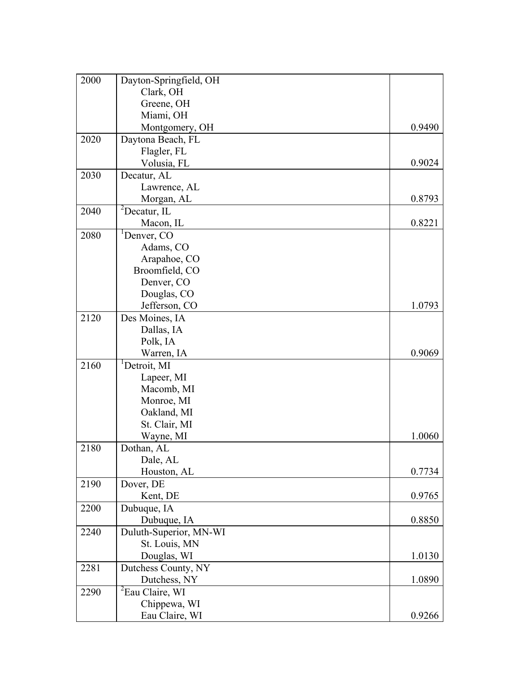| 2000 | Dayton-Springfield, OH      |        |
|------|-----------------------------|--------|
|      | Clark, OH                   |        |
|      | Greene, OH                  |        |
|      | Miami, OH                   |        |
|      | Montgomery, OH              | 0.9490 |
| 2020 | Daytona Beach, FL           |        |
|      | Flagler, FL                 |        |
|      | Volusia, FL                 | 0.9024 |
| 2030 | Decatur, AL                 |        |
|      | Lawrence, AL                |        |
|      | Morgan, AL                  | 0.8793 |
| 2040 | ${}^{2}$ Decatur, IL        |        |
|      | Macon, IL                   | 0.8221 |
| 2080 | ${}^{1}$ Denver, CO         |        |
|      | Adams, CO                   |        |
|      | Arapahoe, CO                |        |
|      | Broomfield, CO              |        |
|      | Denver, CO                  |        |
|      | Douglas, CO                 |        |
|      | Jefferson, CO               | 1.0793 |
| 2120 | Des Moines, IA              |        |
|      | Dallas, IA                  |        |
|      | Polk, IA                    |        |
|      | Warren, IA                  | 0.9069 |
| 2160 | <sup>1</sup> Detroit, MI    |        |
|      | Lapeer, MI                  |        |
|      | Macomb, MI                  |        |
|      | Monroe, MI                  |        |
|      | Oakland, MI                 |        |
|      | St. Clair, MI               |        |
|      | Wayne, MI                   | 1.0060 |
| 2180 | Dothan, AL                  |        |
|      | Dale, AL                    |        |
|      | Houston, AL                 | 0.7734 |
| 2190 | Dover, DE                   |        |
|      | Kent, DE                    | 0.9765 |
| 2200 | Dubuque, IA                 |        |
|      | Dubuque, IA                 | 0.8850 |
| 2240 | Duluth-Superior, MN-WI      |        |
|      | St. Louis, MN               |        |
|      | Douglas, WI                 | 1.0130 |
| 2281 | Dutchess County, NY         |        |
|      | Dutchess, NY                | 1.0890 |
| 2290 | <sup>2</sup> Eau Claire, WI |        |
|      | Chippewa, WI                |        |
|      | Eau Claire, WI              | 0.9266 |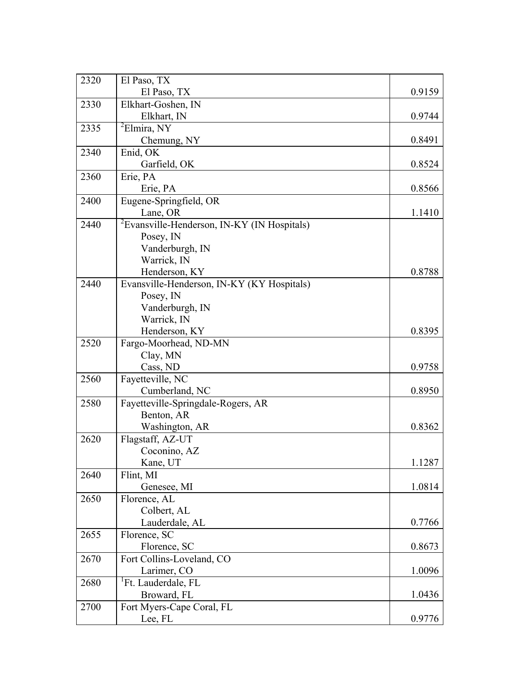| 2320 | El Paso, TX                                             |        |
|------|---------------------------------------------------------|--------|
|      | El Paso, TX                                             | 0.9159 |
| 2330 | Elkhart-Goshen, IN                                      |        |
|      | Elkhart, IN                                             | 0.9744 |
| 2335 | ${}^{2}$ Elmira, NY                                     |        |
|      | Chemung, NY                                             | 0.8491 |
| 2340 | Enid, OK                                                |        |
|      | Garfield, OK                                            | 0.8524 |
| 2360 | Erie, PA                                                |        |
|      | Erie, PA                                                | 0.8566 |
| 2400 | Eugene-Springfield, OR                                  |        |
|      | Lane, OR                                                | 1.1410 |
| 2440 | <sup>2</sup> Evansville-Henderson, IN-KY (IN Hospitals) |        |
|      | Posey, IN                                               |        |
|      | Vanderburgh, IN                                         |        |
|      | Warrick, IN                                             |        |
|      | Henderson, KY                                           | 0.8788 |
| 2440 | Evansville-Henderson, IN-KY (KY Hospitals)              |        |
|      | Posey, IN                                               |        |
|      | Vanderburgh, IN                                         |        |
|      | Warrick, IN                                             |        |
|      | Henderson, KY                                           | 0.8395 |
| 2520 | Fargo-Moorhead, ND-MN                                   |        |
|      | Clay, MN                                                |        |
|      | Cass, ND                                                | 0.9758 |
| 2560 | Fayetteville, NC                                        |        |
|      | Cumberland, NC                                          | 0.8950 |
| 2580 | Fayetteville-Springdale-Rogers, AR                      |        |
|      | Benton, AR                                              |        |
|      | Washington, AR                                          | 0.8362 |
| 2620 | Flagstaff, AZ-UT                                        |        |
|      | Coconino, AZ                                            |        |
|      | Kane, UT                                                | 1.1287 |
| 2640 | Flint, MI                                               |        |
|      | Genesee, MI                                             | 1.0814 |
| 2650 | Florence, AL                                            |        |
|      | Colbert, AL                                             |        |
|      | Lauderdale, AL                                          | 0.7766 |
| 2655 | Florence, SC                                            |        |
|      | Florence, SC                                            | 0.8673 |
| 2670 | Fort Collins-Loveland, CO                               |        |
|      | Larimer, CO                                             | 1.0096 |
| 2680 | <sup>1</sup> Ft. Lauderdale, FL                         |        |
|      | Broward, FL                                             | 1.0436 |
| 2700 | Fort Myers-Cape Coral, FL                               |        |
|      | Lee, FL                                                 | 0.9776 |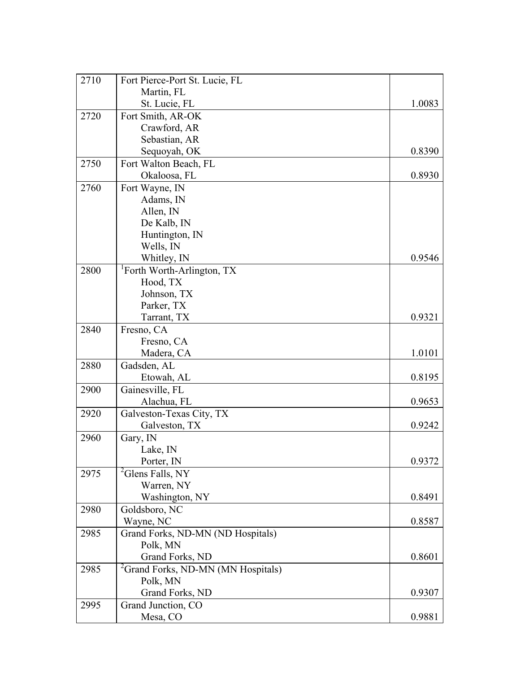| 2710 | Fort Pierce-Port St. Lucie, FL                 |        |
|------|------------------------------------------------|--------|
|      | Martin, FL                                     |        |
|      | St. Lucie, FL                                  | 1.0083 |
| 2720 | Fort Smith, AR-OK                              |        |
|      | Crawford, AR                                   |        |
|      | Sebastian, AR                                  |        |
|      | Sequoyah, OK                                   | 0.8390 |
| 2750 | Fort Walton Beach, FL                          |        |
|      | Okaloosa, FL                                   | 0.8930 |
| 2760 | Fort Wayne, IN                                 |        |
|      | Adams, IN                                      |        |
|      | Allen, IN                                      |        |
|      | De Kalb, IN                                    |        |
|      | Huntington, IN                                 |        |
|      | Wells, IN                                      |        |
|      | Whitley, IN                                    | 0.9546 |
| 2800 | <sup>1</sup> Forth Worth-Arlington, TX         |        |
|      | Hood, TX                                       |        |
|      | Johnson, TX                                    |        |
|      | Parker, TX                                     |        |
|      | Tarrant, TX                                    | 0.9321 |
| 2840 | Fresno, CA                                     |        |
|      | Fresno, CA                                     |        |
|      | Madera, CA                                     | 1.0101 |
| 2880 | Gadsden, AL                                    |        |
|      | Etowah, AL                                     | 0.8195 |
| 2900 | Gainesville, FL                                |        |
|      | Alachua, FL                                    | 0.9653 |
| 2920 | Galveston-Texas City, TX                       |        |
|      | Galveston, TX                                  | 0.9242 |
| 2960 | Gary, IN                                       |        |
|      | Lake, IN                                       |        |
|      | Porter, IN                                     | 0.9372 |
| 2975 | <sup>2</sup> Glens Falls, NY                   |        |
|      | Warren, NY                                     |        |
|      | Washington, NY                                 | 0.8491 |
| 2980 | Goldsboro, NC                                  |        |
|      | Wayne, NC                                      | 0.8587 |
| 2985 | Grand Forks, ND-MN (ND Hospitals)              |        |
|      | Polk, MN                                       |        |
|      | Grand Forks, ND                                | 0.8601 |
| 2985 | <sup>2</sup> Grand Forks, ND-MN (MN Hospitals) |        |
|      | Polk, MN                                       |        |
|      | Grand Forks, ND                                | 0.9307 |
| 2995 | Grand Junction, CO                             |        |
|      | Mesa, CO                                       | 0.9881 |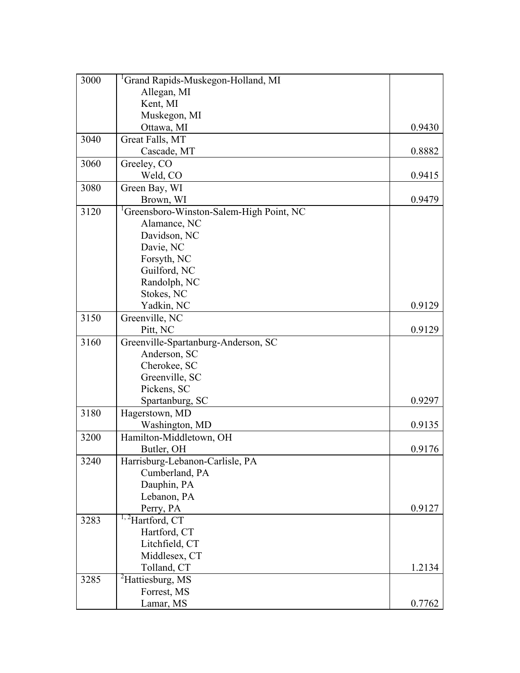| 3000 | <sup>1</sup> Grand Rapids-Muskegon-Holland, MI       |        |
|------|------------------------------------------------------|--------|
|      | Allegan, MI                                          |        |
|      | Kent, MI                                             |        |
|      | Muskegon, MI                                         |        |
|      | Ottawa, MI                                           | 0.9430 |
| 3040 | Great Falls, MT                                      |        |
|      | Cascade, MT                                          | 0.8882 |
| 3060 | Greeley, CO                                          |        |
|      | Weld, CO                                             | 0.9415 |
| 3080 | Green Bay, WI                                        |        |
|      | Brown, WI                                            | 0.9479 |
| 3120 | <sup>1</sup> Greensboro-Winston-Salem-High Point, NC |        |
|      | Alamance, NC                                         |        |
|      | Davidson, NC                                         |        |
|      | Davie, NC                                            |        |
|      | Forsyth, NC                                          |        |
|      | Guilford, NC                                         |        |
|      | Randolph, NC                                         |        |
|      | Stokes, NC                                           |        |
|      | Yadkin, NC                                           | 0.9129 |
| 3150 | Greenville, NC                                       |        |
|      | Pitt, NC                                             | 0.9129 |
| 3160 | Greenville-Spartanburg-Anderson, SC                  |        |
|      | Anderson, SC                                         |        |
|      | Cherokee, SC                                         |        |
|      | Greenville, SC                                       |        |
|      | Pickens, SC                                          |        |
|      | Spartanburg, SC                                      | 0.9297 |
| 3180 | Hagerstown, MD                                       |        |
|      | Washington, MD                                       | 0.9135 |
| 3200 | Hamilton-Middletown, OH                              |        |
|      | Butler, OH                                           | 0.9176 |
| 3240 | Harrisburg-Lebanon-Carlisle, PA                      |        |
|      | Cumberland, PA                                       |        |
|      | Dauphin, PA                                          |        |
|      | Lebanon, PA                                          |        |
|      | Perry, PA                                            | 0.9127 |
| 3283 | <sup>1,2</sup> Hartford, CT                          |        |
|      | Hartford, CT                                         |        |
|      | Litchfield, CT                                       |        |
|      | Middlesex, CT                                        |        |
|      | Tolland, CT                                          | 1.2134 |
| 3285 | <sup>2</sup> Hattiesburg, MS                         |        |
|      | Forrest, MS                                          |        |
|      | Lamar, MS                                            | 0.7762 |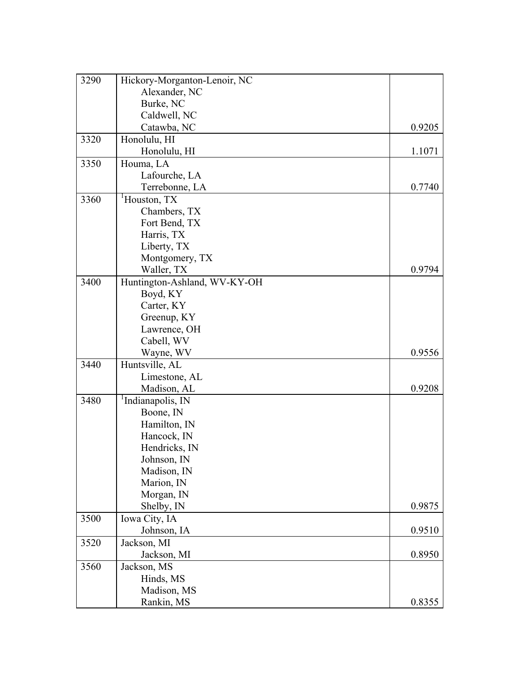| 3290 | Hickory-Morganton-Lenoir, NC  |        |
|------|-------------------------------|--------|
|      | Alexander, NC                 |        |
|      | Burke, NC                     |        |
|      | Caldwell, NC                  |        |
|      | Catawba, NC                   | 0.9205 |
| 3320 | Honolulu, HI                  |        |
|      | Honolulu, HI                  | 1.1071 |
| 3350 | Houma, LA                     |        |
|      | Lafourche, LA                 |        |
|      | Terrebonne, LA                | 0.7740 |
| 3360 | <sup>1</sup> Houston, TX      |        |
|      | Chambers, TX                  |        |
|      | Fort Bend, TX                 |        |
|      | Harris, TX                    |        |
|      | Liberty, TX                   |        |
|      | Montgomery, TX                |        |
|      | Waller, TX                    | 0.9794 |
| 3400 | Huntington-Ashland, WV-KY-OH  |        |
|      | Boyd, KY                      |        |
|      | Carter, KY                    |        |
|      | Greenup, KY                   |        |
|      | Lawrence, OH                  |        |
|      | Cabell, WV                    |        |
|      | Wayne, WV                     | 0.9556 |
| 3440 | Huntsville, AL                |        |
|      | Limestone, AL                 |        |
|      | Madison, AL                   | 0.9208 |
| 3480 | <sup>1</sup> Indianapolis, IN |        |
|      | Boone, IN                     |        |
|      | Hamilton, IN                  |        |
|      | Hancock, IN                   |        |
|      | Hendricks, IN                 |        |
|      | Johnson, IN                   |        |
|      | Madison, IN                   |        |
|      | Marion, IN                    |        |
|      | Morgan, IN                    |        |
|      | Shelby, IN                    | 0.9875 |
| 3500 | Iowa City, IA                 |        |
|      | Johnson, IA                   | 0.9510 |
| 3520 | Jackson, MI                   |        |
|      | Jackson, MI                   | 0.8950 |
| 3560 | Jackson, MS                   |        |
|      | Hinds, MS                     |        |
|      | Madison, MS                   |        |
|      | Rankin, MS                    | 0.8355 |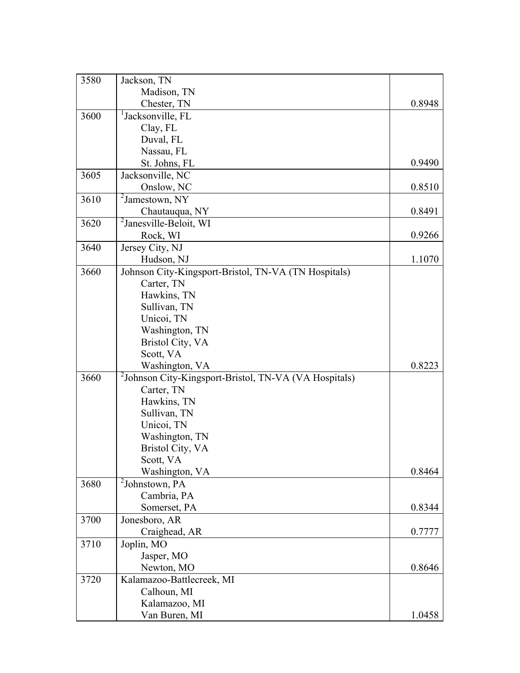| 3580 | Jackson, TN                                                       |        |
|------|-------------------------------------------------------------------|--------|
|      | Madison, TN                                                       |        |
|      | Chester, TN                                                       | 0.8948 |
| 3600 | <sup>1</sup> Jacksonville, FL                                     |        |
|      | Clay, FL                                                          |        |
|      | Duval, FL                                                         |        |
|      | Nassau, FL                                                        |        |
|      | St. Johns, FL                                                     | 0.9490 |
| 3605 | Jacksonville, NC                                                  |        |
|      | Onslow, NC                                                        | 0.8510 |
| 3610 | $2$ Jamestown, NY                                                 |        |
|      | Chautauqua, NY                                                    | 0.8491 |
| 3620 | <sup>2</sup> Janesville-Beloit, WI                                |        |
|      | Rock, WI                                                          | 0.9266 |
| 3640 | Jersey City, NJ                                                   |        |
|      | Hudson, NJ                                                        | 1.1070 |
| 3660 | Johnson City-Kingsport-Bristol, TN-VA (TN Hospitals)              |        |
|      | Carter, TN                                                        |        |
|      | Hawkins, TN                                                       |        |
|      | Sullivan, TN                                                      |        |
|      | Unicoi, TN                                                        |        |
|      | Washington, TN                                                    |        |
|      | Bristol City, VA                                                  |        |
|      | Scott, VA                                                         |        |
|      | Washington, VA                                                    | 0.8223 |
| 3660 | <sup>2</sup> Johnson City-Kingsport-Bristol, TN-VA (VA Hospitals) |        |
|      | Carter, TN                                                        |        |
|      | Hawkins, TN                                                       |        |
|      | Sullivan, TN                                                      |        |
|      | Unicoi, TN                                                        |        |
|      | Washington, TN                                                    |        |
|      | <b>Bristol City, VA</b>                                           |        |
|      | Scott, VA                                                         |        |
|      | Washington, VA                                                    | 0.8464 |
| 3680 | $2$ Johnstown, PA                                                 |        |
|      | Cambria, PA                                                       |        |
|      | Somerset, PA                                                      | 0.8344 |
| 3700 | Jonesboro, AR                                                     |        |
|      | Craighead, AR                                                     | 0.7777 |
| 3710 | Joplin, MO                                                        |        |
|      | Jasper, MO                                                        |        |
|      | Newton, MO                                                        | 0.8646 |
| 3720 | Kalamazoo-Battlecreek, MI                                         |        |
|      | Calhoun, MI                                                       |        |
|      | Kalamazoo, MI                                                     |        |
|      | Van Buren, MI                                                     | 1.0458 |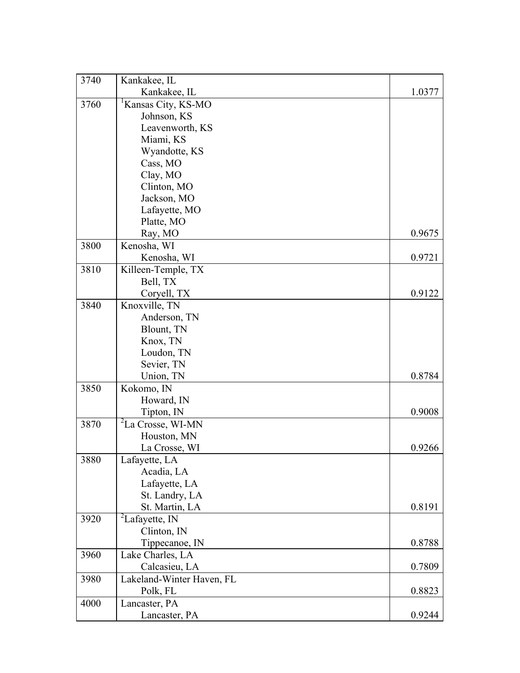| 3740 | Kankakee, IL                    |        |
|------|---------------------------------|--------|
|      | Kankakee, IL                    | 1.0377 |
| 3760 | <sup>1</sup> Kansas City, KS-MO |        |
|      | Johnson, KS                     |        |
|      | Leavenworth, KS                 |        |
|      | Miami, KS                       |        |
|      | Wyandotte, KS                   |        |
|      | Cass, MO                        |        |
|      | Clay, MO                        |        |
|      | Clinton, MO                     |        |
|      | Jackson, MO                     |        |
|      | Lafayette, MO                   |        |
|      | Platte, MO                      |        |
|      | Ray, MO                         | 0.9675 |
| 3800 | Kenosha, WI                     |        |
|      | Kenosha, WI                     | 0.9721 |
| 3810 | Killeen-Temple, TX              |        |
|      | Bell, TX                        |        |
|      | Coryell, TX                     | 0.9122 |
| 3840 | Knoxville, TN                   |        |
|      | Anderson, TN                    |        |
|      | Blount, TN                      |        |
|      | Knox, TN                        |        |
|      | Loudon, TN                      |        |
|      | Sevier, TN                      |        |
|      | Union, TN                       | 0.8784 |
| 3850 | Kokomo, IN                      |        |
|      | Howard, IN                      |        |
|      | Tipton, IN                      | 0.9008 |
| 3870 | <sup>2</sup> La Crosse, WI-MN   |        |
|      | Houston, MN                     |        |
|      | La Crosse, WI                   | 0.9266 |
| 3880 | Lafayette, LA                   |        |
|      | Acadia, LA                      |        |
|      | Lafayette, LA                   |        |
|      | St. Landry, LA                  |        |
|      | St. Martin, LA                  | 0.8191 |
| 3920 | ${}^{2}$ Lafayette, IN          |        |
|      | Clinton, IN                     |        |
|      | Tippecanoe, IN                  | 0.8788 |
| 3960 | Lake Charles, LA                |        |
|      | Calcasieu, LA                   | 0.7809 |
| 3980 | Lakeland-Winter Haven, FL       |        |
|      | Polk, FL                        | 0.8823 |
| 4000 | Lancaster, PA                   |        |
|      | Lancaster, PA                   | 0.9244 |
|      |                                 |        |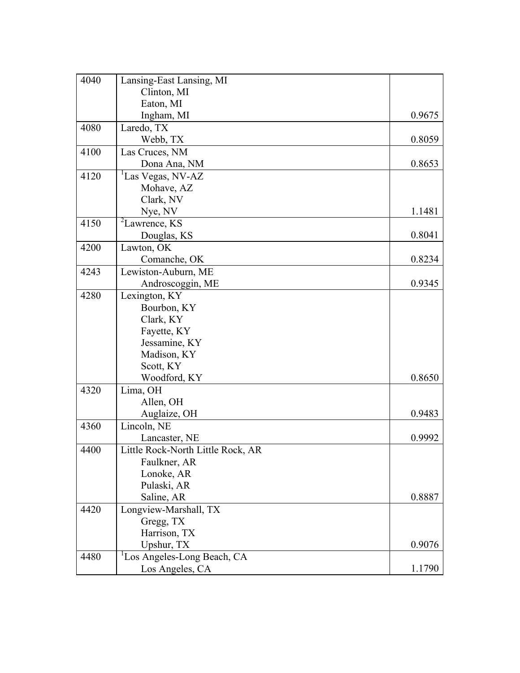| 4040 | Lansing-East Lansing, MI          |        |
|------|-----------------------------------|--------|
|      | Clinton, MI                       |        |
|      | Eaton, MI                         |        |
|      | Ingham, MI                        | 0.9675 |
| 4080 | Laredo, TX                        |        |
|      | Webb, TX                          | 0.8059 |
| 4100 | Las Cruces, NM                    |        |
|      | Dona Ana, NM                      | 0.8653 |
| 4120 | <sup>1</sup> Las Vegas, NV-AZ     |        |
|      | Mohave, AZ                        |        |
|      | Clark, NV                         |        |
|      | Nye, NV                           | 1.1481 |
| 4150 | <sup>2</sup> Lawrence, KS         |        |
|      | Douglas, KS                       | 0.8041 |
| 4200 | Lawton, OK                        |        |
|      | Comanche, OK                      | 0.8234 |
| 4243 | Lewiston-Auburn, ME               |        |
|      | Androscoggin, ME                  | 0.9345 |
| 4280 | Lexington, KY                     |        |
|      | Bourbon, KY                       |        |
|      | Clark, KY                         |        |
|      | Fayette, KY                       |        |
|      | Jessamine, KY                     |        |
|      | Madison, KY                       |        |
|      | Scott, KY                         |        |
|      | Woodford, KY                      | 0.8650 |
| 4320 | Lima, OH                          |        |
|      | Allen, OH                         |        |
|      | Auglaize, OH                      | 0.9483 |
| 4360 | Lincoln, NE                       |        |
|      | Lancaster, NE                     | 0.9992 |
| 4400 | Little Rock-North Little Rock, AR |        |
|      | Faulkner, AR                      |        |
|      | Lonoke, AR                        |        |
|      | Pulaski, AR                       |        |
|      | Saline, AR                        | 0.8887 |
| 4420 | Longview-Marshall, TX             |        |
|      | Gregg, TX                         |        |
|      | Harrison, TX                      |        |
|      | Upshur, TX                        | 0.9076 |
| 4480 | Los Angeles-Long Beach, CA        |        |
|      | Los Angeles, CA                   | 1.1790 |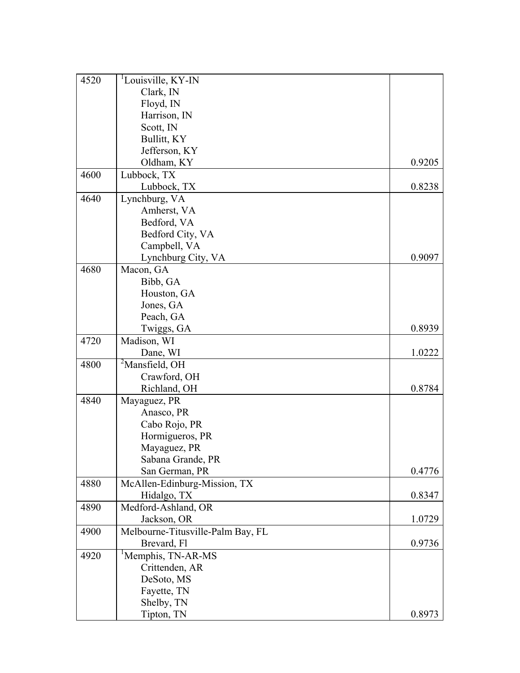| 4520 | <sup>1</sup> Louisville, KY-IN    |        |
|------|-----------------------------------|--------|
|      | Clark, IN                         |        |
|      | Floyd, IN                         |        |
|      | Harrison, IN                      |        |
|      | Scott, IN                         |        |
|      | Bullitt, KY                       |        |
|      | Jefferson, KY                     |        |
|      | Oldham, KY                        | 0.9205 |
| 4600 | Lubbock, TX                       |        |
|      | Lubbock, TX                       | 0.8238 |
| 4640 | Lynchburg, VA                     |        |
|      | Amherst, VA                       |        |
|      | Bedford, VA                       |        |
|      | Bedford City, VA                  |        |
|      | Campbell, VA                      |        |
|      | Lynchburg City, VA                | 0.9097 |
| 4680 | Macon, GA                         |        |
|      | Bibb, GA                          |        |
|      | Houston, GA                       |        |
|      | Jones, GA                         |        |
|      | Peach, GA                         |        |
|      | Twiggs, GA                        | 0.8939 |
| 4720 | Madison, WI                       |        |
|      | Dane, WI                          | 1.0222 |
| 4800 | <sup>2</sup> Mansfield, OH        |        |
|      | Crawford, OH                      |        |
|      | Richland, OH                      | 0.8784 |
| 4840 | Mayaguez, PR                      |        |
|      |                                   |        |
|      | Anasco, PR<br>Cabo Rojo, PR       |        |
|      |                                   |        |
|      | Hormigueros, PR                   |        |
|      | Mayaguez, PR                      |        |
|      | Sabana Grande, PR                 |        |
|      | San German, PR                    | 0.4776 |
| 4880 | McAllen-Edinburg-Mission, TX      |        |
|      | Hidalgo, TX                       | 0.8347 |
| 4890 | Medford-Ashland, OR               |        |
|      | Jackson, OR                       | 1.0729 |
| 4900 | Melbourne-Titusville-Palm Bay, FL |        |
|      | Brevard, Fl                       | 0.9736 |
| 4920 | <sup>1</sup> Memphis, TN-AR-MS    |        |
|      | Crittenden, AR                    |        |
|      | DeSoto, MS                        |        |
|      | Fayette, TN                       |        |
|      | Shelby, TN                        |        |
|      | Tipton, TN                        | 0.8973 |
|      |                                   |        |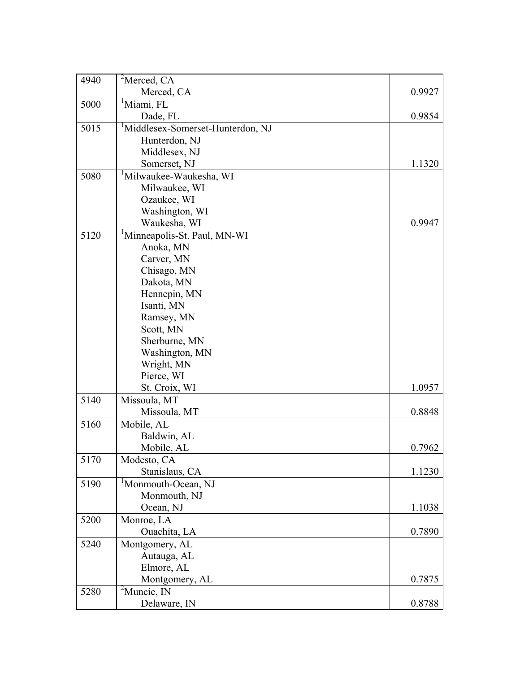| 4940 | $2$ Merced, CA                                |        |
|------|-----------------------------------------------|--------|
|      | Merced, CA                                    | 0.9927 |
| 5000 | <sup>1</sup> Miami, FL                        |        |
|      | Dade, FL                                      | 0.9854 |
| 5015 | <sup>1</sup> Middlesex-Somerset-Hunterdon, NJ |        |
|      | Hunterdon, NJ                                 |        |
|      | Middlesex, NJ                                 |        |
|      | Somerset, NJ                                  | 1.1320 |
| 5080 | <sup>1</sup> Milwaukee-Waukesha, WI           |        |
|      | Milwaukee, WI                                 |        |
|      | Ozaukee, WI                                   |        |
|      | Washington, WI                                |        |
|      | Waukesha, WI                                  | 0.9947 |
| 5120 | <sup>1</sup> Minneapolis-St. Paul, MN-WI      |        |
|      | Anoka, MN                                     |        |
|      | Carver, MN                                    |        |
|      | Chisago, MN                                   |        |
|      | Dakota, MN                                    |        |
|      | Hennepin, MN                                  |        |
|      | Isanti, MN                                    |        |
|      | Ramsey, MN                                    |        |
|      | Scott, MN                                     |        |
|      | Sherburne, MN                                 |        |
|      | Washington, MN                                |        |
|      | Wright, MN                                    |        |
|      | Pierce, WI                                    |        |
|      | St. Croix, WI                                 | 1.0957 |
| 5140 | Missoula, MT                                  |        |
|      | Missoula, MT                                  | 0.8848 |
| 5160 | Mobile, AL                                    |        |
|      | Baldwin, AL                                   |        |
|      | Mobile, AL                                    | 0.7962 |
| 5170 | Modesto, CA                                   |        |
|      | Stanislaus, CA                                | 1.1230 |
| 5190 | <sup>1</sup> Monmouth-Ocean, NJ               |        |
|      | Monmouth, NJ                                  |        |
|      | Ocean, NJ                                     | 1.1038 |
| 5200 | Monroe, LA                                    |        |
|      | Ouachita, LA                                  | 0.7890 |
| 5240 | Montgomery, AL                                |        |
|      | Autauga, AL                                   |        |
|      | Elmore, AL                                    |        |
|      | Montgomery, AL                                | 0.7875 |
| 5280 | ${}^{2}$ Muncie, IN                           |        |
|      | Delaware, IN                                  | 0.8788 |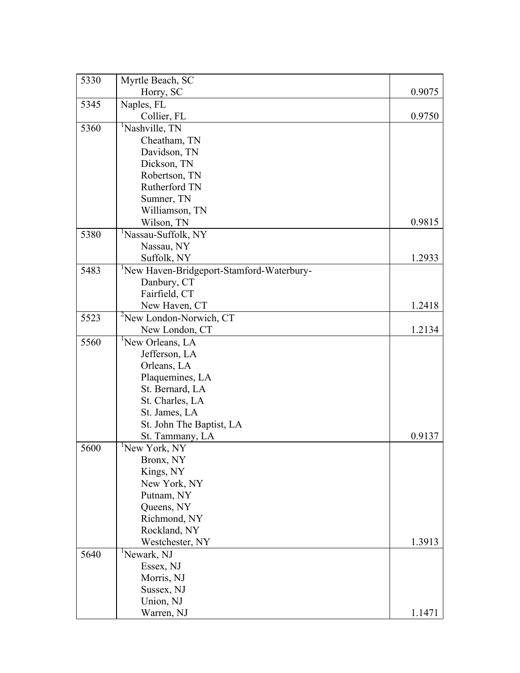| 5330 | Myrtle Beach, SC                                      |        |
|------|-------------------------------------------------------|--------|
|      | Horry, SC                                             | 0.9075 |
| 5345 | Naples, FL                                            |        |
|      | Collier, FL                                           | 0.9750 |
| 5360 | <sup>1</sup> Nashville, TN                            |        |
|      | Cheatham, TN                                          |        |
|      | Davidson, TN                                          |        |
|      | Dickson, TN                                           |        |
|      | Robertson, TN                                         |        |
|      | Rutherford TN                                         |        |
|      | Sumner, TN                                            |        |
|      | Williamson, TN                                        |        |
|      | Wilson, TN                                            | 0.9815 |
| 5380 | <sup>1</sup> Nassau-Suffolk, NY                       |        |
|      | Nassau, NY                                            |        |
|      | Suffolk, NY                                           | 1.2933 |
| 5483 | <sup>1</sup> New Haven-Bridgeport-Stamford-Waterbury- |        |
|      | Danbury, CT                                           |        |
|      | Fairfield, CT                                         |        |
|      | New Haven, CT                                         | 1.2418 |
| 5523 | <sup>2</sup> New London-Norwich, CT                   |        |
|      | New London, CT                                        | 1.2134 |
| 5560 | <sup>1</sup> New Orleans, LA                          |        |
|      | Jefferson, LA                                         |        |
|      | Orleans, LA                                           |        |
|      | Plaquemines, LA                                       |        |
|      | St. Bernard, LA                                       |        |
|      | St. Charles, LA                                       |        |
|      | St. James, LA                                         |        |
|      | St. John The Baptist, LA                              |        |
|      | St. Tammany, LA                                       | 0.9137 |
| 5600 | <sup>1</sup> New York, NY                             |        |
|      | Bronx, NY                                             |        |
|      | Kings, NY                                             |        |
|      | New York, NY                                          |        |
|      | Putnam, NY                                            |        |
|      | Queens, NY                                            |        |
|      | Richmond, NY                                          |        |
|      | Rockland, NY                                          |        |
|      | Westchester, NY                                       | 1.3913 |
| 5640 | <sup>1</sup> Newark, NJ                               |        |
|      | Essex, NJ                                             |        |
|      | Morris, NJ                                            |        |
|      | Sussex, NJ                                            |        |
|      | Union, NJ                                             |        |
|      | Warren, NJ                                            | 1.1471 |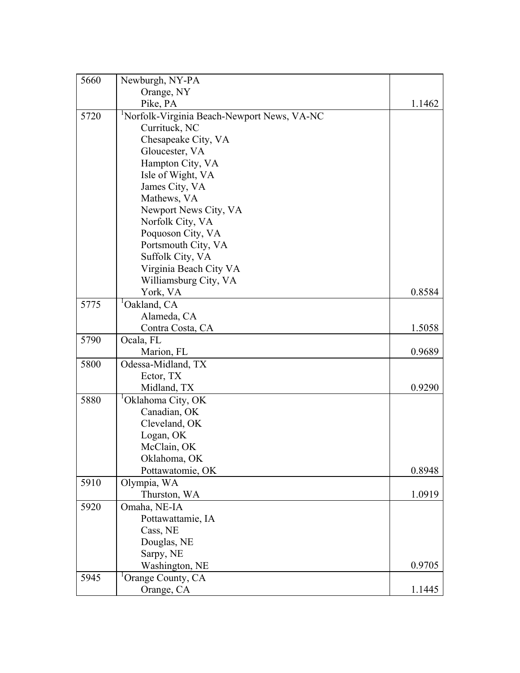| 5660 | Newburgh, NY-PA                                         |        |
|------|---------------------------------------------------------|--------|
|      | Orange, NY                                              |        |
|      | Pike, PA                                                | 1.1462 |
| 5720 | <sup>1</sup> Norfolk-Virginia Beach-Newport News, VA-NC |        |
|      | Currituck, NC                                           |        |
|      | Chesapeake City, VA                                     |        |
|      | Gloucester, VA                                          |        |
|      | Hampton City, VA                                        |        |
|      | Isle of Wight, VA                                       |        |
|      | James City, VA                                          |        |
|      | Mathews, VA                                             |        |
|      | Newport News City, VA                                   |        |
|      | Norfolk City, VA                                        |        |
|      | Poquoson City, VA                                       |        |
|      | Portsmouth City, VA                                     |        |
|      | Suffolk City, VA                                        |        |
|      | Virginia Beach City VA                                  |        |
|      | Williamsburg City, VA                                   |        |
|      | York, VA                                                | 0.8584 |
| 5775 | <sup>1</sup> Oakland, CA                                |        |
|      | Alameda, CA                                             |        |
|      | Contra Costa, CA                                        | 1.5058 |
| 5790 | Ocala, FL                                               |        |
|      | Marion, FL                                              | 0.9689 |
| 5800 | Odessa-Midland, TX                                      |        |
|      | Ector, TX                                               |        |
|      | Midland, TX                                             | 0.9290 |
| 5880 | <sup>1</sup> Oklahoma City, OK                          |        |
|      | Canadian, OK                                            |        |
|      | Cleveland, OK                                           |        |
|      | Logan, OK                                               |        |
|      | McClain, OK                                             |        |
|      | Oklahoma, OK                                            |        |
|      | Pottawatomie, OK                                        | 0.8948 |
| 5910 | Olympia, WA                                             |        |
|      | Thurston, WA                                            | 1.0919 |
| 5920 | Omaha, NE-IA                                            |        |
|      | Pottawattamie, IA                                       |        |
|      | Cass, NE                                                |        |
|      | Douglas, NE                                             |        |
|      | Sarpy, NE                                               |        |
|      | Washington, NE                                          | 0.9705 |
| 5945 | Orange County, CA                                       |        |
|      | Orange, CA                                              | 1.1445 |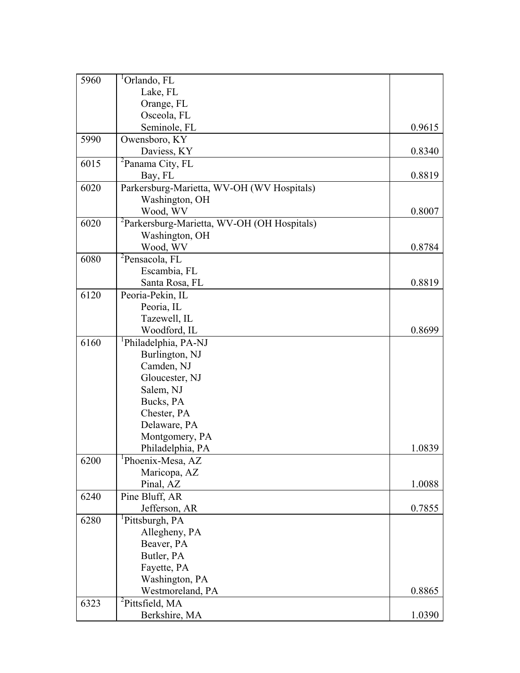| 5960 | <sup>1</sup> Orlando, FL                                |        |
|------|---------------------------------------------------------|--------|
|      | Lake, FL                                                |        |
|      | Orange, FL                                              |        |
|      | Osceola, FL                                             |        |
|      | Seminole, FL                                            | 0.9615 |
| 5990 | Owensboro, KY                                           |        |
|      | Daviess, KY                                             | 0.8340 |
| 6015 | <sup>2</sup> Panama City, FL                            |        |
|      | Bay, FL                                                 | 0.8819 |
| 6020 | Parkersburg-Marietta, WV-OH (WV Hospitals)              |        |
|      | Washington, OH                                          |        |
|      | Wood, WV                                                | 0.8007 |
| 6020 | <sup>2</sup> Parkersburg-Marietta, WV-OH (OH Hospitals) |        |
|      | Washington, OH                                          |        |
|      | Wood, WV                                                | 0.8784 |
| 6080 | <sup>2</sup> Pensacola, FL                              |        |
|      | Escambia, FL                                            |        |
|      | Santa Rosa, FL                                          | 0.8819 |
| 6120 | Peoria-Pekin, IL                                        |        |
|      | Peoria, IL                                              |        |
|      | Tazewell, IL                                            |        |
|      | Woodford, IL                                            | 0.8699 |
| 6160 | <sup>1</sup> Philadelphia, PA-NJ                        |        |
|      | Burlington, NJ                                          |        |
|      | Camden, NJ                                              |        |
|      | Gloucester, NJ                                          |        |
|      | Salem, NJ                                               |        |
|      | Bucks, PA                                               |        |
|      | Chester, PA                                             |        |
|      | Delaware, PA                                            |        |
|      | Montgomery, PA                                          |        |
|      | Philadelphia, PA                                        | 1.0839 |
| 6200 | Phoenix-Mesa, AZ                                        |        |
|      | Maricopa, AZ                                            |        |
|      | Pinal, AZ                                               |        |
|      |                                                         | 1.0088 |
| 6240 | Pine Bluff, AR                                          |        |
|      | Jefferson, AR                                           | 0.7855 |
| 6280 | <sup>1</sup> Pittsburgh, PA                             |        |
|      | Allegheny, PA                                           |        |
|      | Beaver, PA                                              |        |
|      | Butler, PA                                              |        |
|      | Fayette, PA                                             |        |
|      | Washington, PA                                          |        |
|      | Westmoreland, PA                                        | 0.8865 |
| 6323 | ${}^{2}$ Pittsfield, MA                                 |        |
|      | Berkshire, MA                                           | 1.0390 |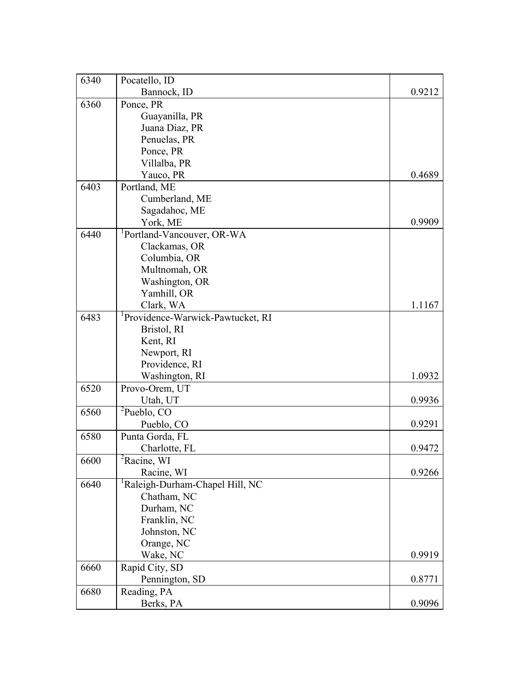| 6340 | Pocatello, ID                                 |        |
|------|-----------------------------------------------|--------|
|      | Bannock, ID                                   | 0.9212 |
| 6360 | Ponce, PR                                     |        |
|      | Guayanilla, PR                                |        |
|      | Juana Diaz, PR                                |        |
|      | Penuelas, PR                                  |        |
|      | Ponce, PR                                     |        |
|      | Villalba, PR                                  |        |
|      | Yauco, PR                                     | 0.4689 |
| 6403 | Portland, ME                                  |        |
|      | Cumberland, ME                                |        |
|      | Sagadahoc, ME                                 |        |
|      | York, ME                                      | 0.9909 |
| 6440 | <sup>1</sup> Portland-Vancouver, OR-WA        |        |
|      | Clackamas, OR                                 |        |
|      | Columbia, OR                                  |        |
|      | Multnomah, OR                                 |        |
|      | Washington, OR                                |        |
|      | Yamhill, OR                                   |        |
|      | Clark, WA                                     | 1.1167 |
| 6483 | <sup>1</sup> Providence-Warwick-Pawtucket, RI |        |
|      | Bristol, RI                                   |        |
|      | Kent, RI                                      |        |
|      | Newport, RI                                   |        |
|      | Providence, RI                                |        |
|      | Washington, RI                                | 1.0932 |
| 6520 | Provo-Orem, UT                                |        |
|      | Utah, UT                                      | 0.9936 |
| 6560 | ${}^{2}$ Pueblo, CO                           |        |
|      | Pueblo, CO                                    | 0.9291 |
| 6580 | Punta Gorda, FL                               |        |
|      | Charlotte, FL                                 | 0.9472 |
| 6600 | ${}^{2}$ Racine, WI                           |        |
|      | Racine, WI                                    | 0.9266 |
| 6640 | Raleigh-Durham-Chapel Hill, NC                |        |
|      | Chatham, NC                                   |        |
|      | Durham, NC                                    |        |
|      | Franklin, NC                                  |        |
|      | Johnston, NC                                  |        |
|      | Orange, NC                                    |        |
|      | Wake, NC                                      | 0.9919 |
| 6660 | Rapid City, SD                                |        |
|      | Pennington, SD                                | 0.8771 |
| 6680 | Reading, PA                                   |        |
|      | Berks, PA                                     | 0.9096 |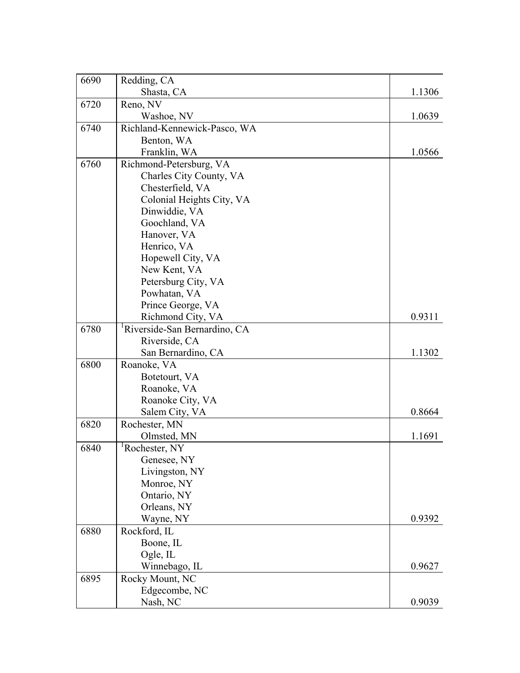| 6690 | Redding, CA                               |        |
|------|-------------------------------------------|--------|
|      | Shasta, CA                                | 1.1306 |
| 6720 | Reno, NV                                  |        |
|      | Washoe, NV                                | 1.0639 |
| 6740 | Richland-Kennewick-Pasco, WA              |        |
|      | Benton, WA                                |        |
|      | Franklin, WA                              | 1.0566 |
| 6760 | Richmond-Petersburg, VA                   |        |
|      | Charles City County, VA                   |        |
|      | Chesterfield, VA                          |        |
|      | Colonial Heights City, VA                 |        |
|      | Dinwiddie, VA                             |        |
|      | Goochland, VA                             |        |
|      | Hanover, VA                               |        |
|      | Henrico, VA                               |        |
|      | Hopewell City, VA                         |        |
|      | New Kent, VA                              |        |
|      | Petersburg City, VA                       |        |
|      | Powhatan, VA                              |        |
|      | Prince George, VA                         |        |
|      | Richmond City, VA                         | 0.9311 |
| 6780 | <sup>1</sup> Riverside-San Bernardino, CA |        |
|      | Riverside, CA                             |        |
|      | San Bernardino, CA                        | 1.1302 |
| 6800 | Roanoke, VA                               |        |
|      | Botetourt, VA                             |        |
|      | Roanoke, VA                               |        |
|      | Roanoke City, VA                          |        |
|      | Salem City, VA                            | 0.8664 |
| 6820 | Rochester, MN                             |        |
|      | Olmsted, MN                               | 1.1691 |
| 6840 | <sup>1</sup> Rochester, NY                |        |
|      | Genesee, NY                               |        |
|      | Livingston, NY                            |        |
|      | Monroe, NY                                |        |
|      | Ontario, NY                               |        |
|      | Orleans, NY                               |        |
|      | Wayne, NY                                 | 0.9392 |
| 6880 | Rockford, IL                              |        |
|      | Boone, IL                                 |        |
|      | Ogle, IL                                  |        |
|      | Winnebago, IL                             | 0.9627 |
| 6895 | Rocky Mount, NC                           |        |
|      | Edgecombe, NC                             |        |
|      | Nash, NC                                  | 0.9039 |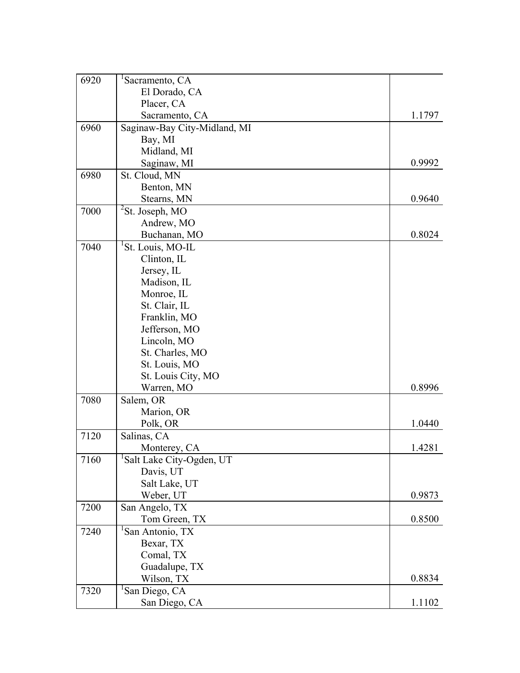| 6920 | Sacramento, CA               |        |
|------|------------------------------|--------|
|      | El Dorado, CA                |        |
|      | Placer, CA                   |        |
|      | Sacramento, CA               | 1.1797 |
| 6960 | Saginaw-Bay City-Midland, MI |        |
|      | Bay, MI                      |        |
|      | Midland, MI                  |        |
|      | Saginaw, MI                  | 0.9992 |
| 6980 | St. Cloud, MN                |        |
|      | Benton, MN                   |        |
|      | Stearns, MN                  | 0.9640 |
| 7000 | <sup>2</sup> St. Joseph, MO  |        |
|      | Andrew, MO                   |        |
|      | Buchanan, MO                 | 0.8024 |
| 7040 | St. Louis, MO-IL             |        |
|      | Clinton, IL                  |        |
|      | Jersey, IL                   |        |
|      | Madison, IL                  |        |
|      | Monroe, IL                   |        |
|      | St. Clair, IL                |        |
|      | Franklin, MO                 |        |
|      | Jefferson, MO                |        |
|      | Lincoln, MO                  |        |
|      | St. Charles, MO              |        |
|      | St. Louis, MO                |        |
|      | St. Louis City, MO           |        |
|      | Warren, MO                   | 0.8996 |
| 7080 | Salem, OR                    |        |
|      | Marion, OR                   |        |
|      | Polk, OR                     | 1.0440 |
| 7120 | Salinas, CA                  |        |
|      | Monterey, CA                 | 1.4281 |
| 7160 | Salt Lake City-Ogden, UT     |        |
|      | Davis, UT                    |        |
|      | Salt Lake, UT                |        |
|      | Weber, UT                    | 0.9873 |
| 7200 | San Angelo, TX               |        |
|      | Tom Green, TX                | 0.8500 |
| 7240 | San Antonio, TX              |        |
|      | Bexar, TX                    |        |
|      | Comal, TX                    |        |
|      | Guadalupe, TX                |        |
|      | Wilson, TX                   | 0.8834 |
| 7320 | San Diego, CA                |        |
|      | San Diego, CA                | 1.1102 |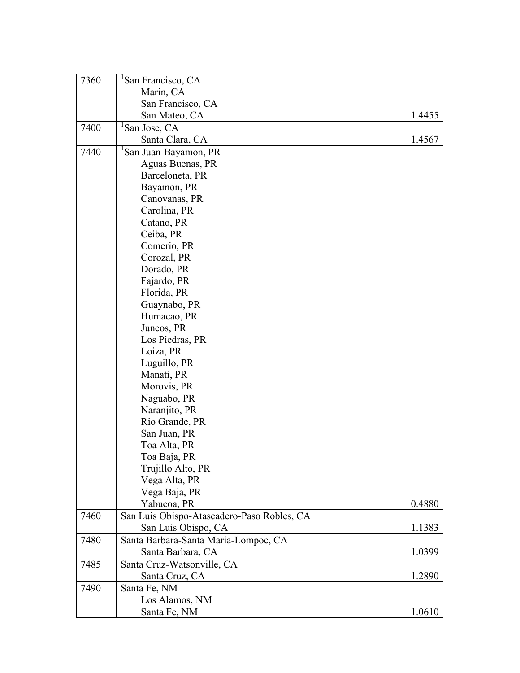| 7360 | San Francisco, CA                          |        |
|------|--------------------------------------------|--------|
|      | Marin, CA                                  |        |
|      | San Francisco, CA                          |        |
|      | San Mateo, CA                              | 1.4455 |
| 7400 | San Jose, CA                               |        |
|      | Santa Clara, CA                            | 1.4567 |
| 7440 | San Juan-Bayamon, PR                       |        |
|      | Aguas Buenas, PR                           |        |
|      | Barceloneta, PR                            |        |
|      | Bayamon, PR                                |        |
|      | Canovanas, PR                              |        |
|      | Carolina, PR                               |        |
|      | Catano, PR                                 |        |
|      | Ceiba, PR                                  |        |
|      | Comerio, PR                                |        |
|      | Corozal, PR                                |        |
|      | Dorado, PR                                 |        |
|      | Fajardo, PR                                |        |
|      | Florida, PR                                |        |
|      | Guaynabo, PR                               |        |
|      | Humacao, PR                                |        |
|      | Juncos, PR                                 |        |
|      | Los Piedras, PR                            |        |
|      | Loiza, PR                                  |        |
|      | Luguillo, PR                               |        |
|      | Manati, PR                                 |        |
|      | Morovis, PR                                |        |
|      | Naguabo, PR                                |        |
|      | Naranjito, PR                              |        |
|      | Rio Grande, PR                             |        |
|      | San Juan, PR                               |        |
|      | Toa Alta, PR                               |        |
|      | Toa Baja, PR                               |        |
|      | Trujillo Alto, PR                          |        |
|      | Vega Alta, PR                              |        |
|      | Vega Baja, PR                              |        |
|      | Yabucoa, PR                                | 0.4880 |
| 7460 | San Luis Obispo-Atascadero-Paso Robles, CA |        |
|      | San Luis Obispo, CA                        | 1.1383 |
| 7480 | Santa Barbara-Santa Maria-Lompoc, CA       |        |
|      | Santa Barbara, CA                          | 1.0399 |
| 7485 | Santa Cruz-Watsonville, CA                 |        |
|      | Santa Cruz, CA                             | 1.2890 |
| 7490 | Santa Fe, NM                               |        |
|      | Los Alamos, NM                             |        |
|      | Santa Fe, NM                               | 1.0610 |
|      |                                            |        |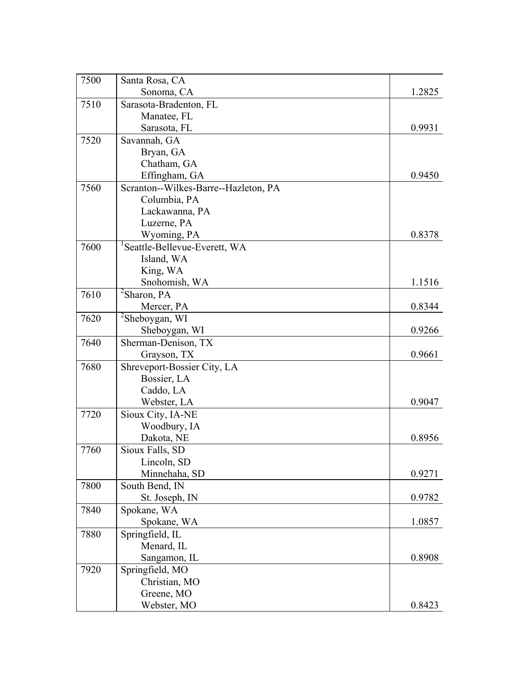| 7500 | Santa Rosa, CA                            |        |
|------|-------------------------------------------|--------|
|      | Sonoma, CA                                | 1.2825 |
| 7510 | Sarasota-Bradenton, FL                    |        |
|      | Manatee, FL                               |        |
|      | Sarasota, FL                              | 0.9931 |
| 7520 | Savannah, GA                              |        |
|      | Bryan, GA                                 |        |
|      | Chatham, GA                               |        |
|      | Effingham, GA                             | 0.9450 |
| 7560 | Scranton--Wilkes-Barre--Hazleton, PA      |        |
|      | Columbia, PA                              |        |
|      | Lackawanna, PA                            |        |
|      | Luzerne, PA                               |        |
|      | Wyoming, PA                               | 0.8378 |
| 7600 | <sup>1</sup> Seattle-Bellevue-Everett, WA |        |
|      | Island, WA                                |        |
|      | King, WA                                  |        |
|      | Snohomish, WA                             | 1.1516 |
| 7610 | ${}^{2}$ Sharon, PA                       |        |
|      | Mercer, PA                                | 0.8344 |
| 7620 | $\mathrm{^{2}S}$ heboygan, WI             |        |
|      | Sheboygan, WI                             | 0.9266 |
| 7640 | Sherman-Denison, TX                       |        |
|      | Grayson, TX                               | 0.9661 |
| 7680 | Shreveport-Bossier City, LA               |        |
|      | Bossier, LA                               |        |
|      | Caddo, LA                                 |        |
|      | Webster, LA                               | 0.9047 |
| 7720 | Sioux City, IA-NE                         |        |
|      | Woodbury, IA                              |        |
|      | Dakota, NE                                | 0.8956 |
| 7760 | Sioux Falls, SD                           |        |
|      | Lincoln, SD                               |        |
|      | Minnehaha, SD                             | 0.9271 |
| 7800 | South Bend, IN                            |        |
|      | St. Joseph, IN                            | 0.9782 |
| 7840 | Spokane, WA                               |        |
|      | Spokane, WA                               | 1.0857 |
| 7880 | Springfield, IL                           |        |
|      | Menard, IL                                |        |
|      | Sangamon, IL                              | 0.8908 |
| 7920 | Springfield, MO                           |        |
|      | Christian, MO                             |        |
|      | Greene, MO                                |        |
|      | Webster, MO                               | 0.8423 |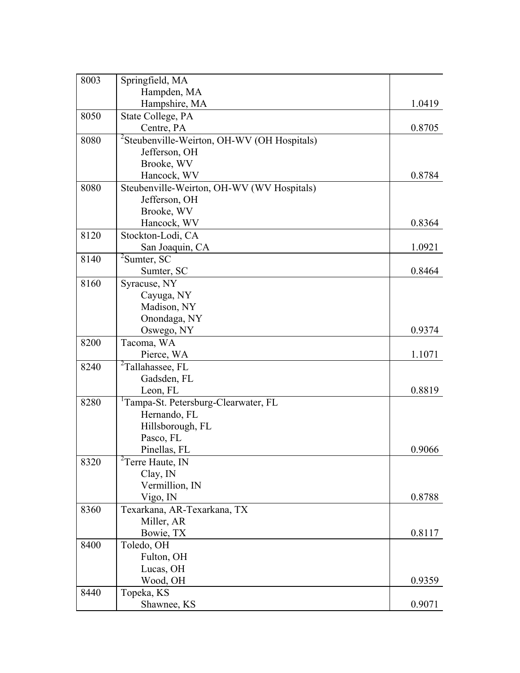| 8003 | Springfield, MA                                         |        |
|------|---------------------------------------------------------|--------|
|      | Hampden, MA                                             |        |
|      | Hampshire, MA                                           | 1.0419 |
| 8050 | State College, PA                                       |        |
|      | Centre, PA                                              | 0.8705 |
| 8080 | <sup>2</sup> Steubenville-Weirton, OH-WV (OH Hospitals) |        |
|      | Jefferson, OH                                           |        |
|      | Brooke, WV                                              |        |
|      | Hancock, WV                                             | 0.8784 |
| 8080 | Steubenville-Weirton, OH-WV (WV Hospitals)              |        |
|      | Jefferson, OH                                           |        |
|      | Brooke, WV                                              |        |
|      | Hancock, WV                                             | 0.8364 |
| 8120 | Stockton-Lodi, CA                                       |        |
|      | San Joaquin, CA                                         | 1.0921 |
| 8140 | ${}^{2}$ Sumter, SC                                     |        |
|      | Sumter, SC                                              | 0.8464 |
| 8160 | Syracuse, NY                                            |        |
|      | Cayuga, NY                                              |        |
|      | Madison, NY                                             |        |
|      | Onondaga, NY                                            |        |
|      | Oswego, NY                                              | 0.9374 |
| 8200 | Tacoma, WA                                              |        |
|      | Pierce, WA                                              | 1.1071 |
| 8240 | <sup>2</sup> Tallahassee, FL                            |        |
|      | Gadsden, FL                                             |        |
|      | Leon, FL                                                | 0.8819 |
| 8280 | <sup>1</sup> Tampa-St. Petersburg-Clearwater, FL        |        |
|      | Hernando, FL                                            |        |
|      | Hillsborough, FL                                        |        |
|      | Pasco, FL                                               |        |
|      | Pinellas, FL                                            | 0.9066 |
| 8320 | $T$ <sup>2</sup> Terre Haute, IN                        |        |
|      | Clay, IN                                                |        |
|      | Vermillion, IN                                          |        |
|      | Vigo, IN                                                | 0.8788 |
| 8360 | Texarkana, AR-Texarkana, TX                             |        |
|      | Miller, AR                                              |        |
|      | Bowie, TX                                               | 0.8117 |
| 8400 | Toledo, OH                                              |        |
|      | Fulton, OH                                              |        |
|      | Lucas, OH                                               |        |
|      | Wood, OH                                                | 0.9359 |
| 8440 | Topeka, KS                                              |        |
|      | Shawnee, KS                                             | 0.9071 |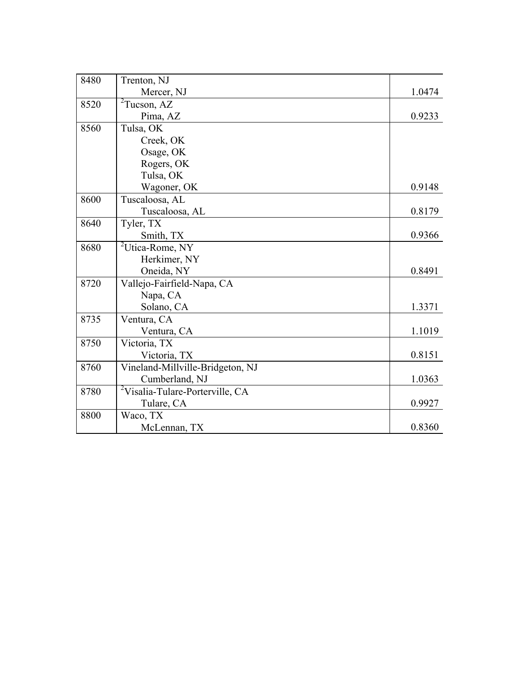| 8480 | Trenton, NJ                                 |        |
|------|---------------------------------------------|--------|
|      | Mercer, NJ                                  | 1.0474 |
| 8520 | $2$ Tucson, AZ                              |        |
|      | Pima, AZ                                    | 0.9233 |
| 8560 | Tulsa, OK                                   |        |
|      | Creek, OK                                   |        |
|      | Osage, OK                                   |        |
|      | Rogers, OK                                  |        |
|      | Tulsa, OK                                   |        |
|      | Wagoner, OK                                 | 0.9148 |
| 8600 | Tuscaloosa, AL                              |        |
|      | Tuscaloosa, AL                              | 0.8179 |
| 8640 | Tyler, TX                                   |        |
|      | Smith, TX                                   | 0.9366 |
| 8680 | <sup>2</sup> Utica-Rome, NY                 |        |
|      | Herkimer, NY                                |        |
|      | Oneida, NY                                  | 0.8491 |
| 8720 | Vallejo-Fairfield-Napa, CA                  |        |
|      | Napa, CA                                    |        |
|      | Solano, CA                                  | 1.3371 |
| 8735 | Ventura, CA                                 |        |
|      | Ventura, CA                                 | 1.1019 |
| 8750 | Victoria, TX                                |        |
|      | Victoria, TX                                | 0.8151 |
| 8760 | Vineland-Millville-Bridgeton, NJ            |        |
|      | Cumberland, NJ                              | 1.0363 |
| 8780 | <sup>2</sup> Visalia-Tulare-Porterville, CA |        |
|      | Tulare, CA                                  | 0.9927 |
| 8800 | Waco, TX                                    |        |
|      | McLennan, TX                                | 0.8360 |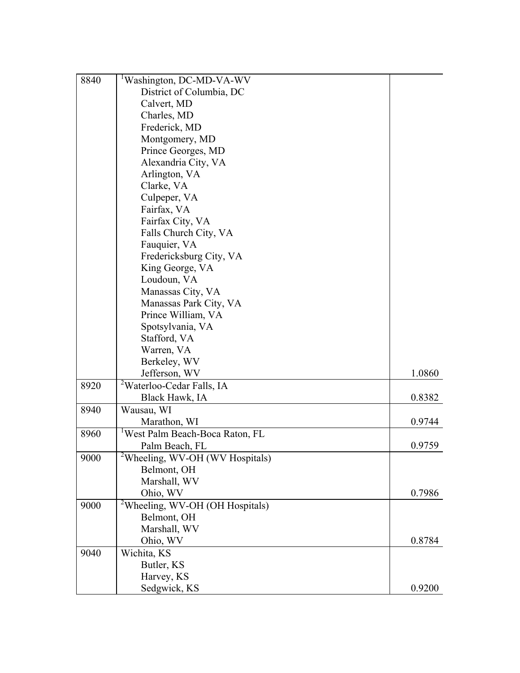| 8840 | <sup>1</sup> Washington, DC-MD-VA-WV        |        |
|------|---------------------------------------------|--------|
|      | District of Columbia, DC                    |        |
|      | Calvert, MD                                 |        |
|      | Charles, MD                                 |        |
|      | Frederick, MD                               |        |
|      | Montgomery, MD                              |        |
|      | Prince Georges, MD                          |        |
|      | Alexandria City, VA                         |        |
|      | Arlington, VA                               |        |
|      | Clarke, VA                                  |        |
|      | Culpeper, VA                                |        |
|      | Fairfax, VA                                 |        |
|      | Fairfax City, VA                            |        |
|      | Falls Church City, VA                       |        |
|      | Fauquier, VA                                |        |
|      | Fredericksburg City, VA                     |        |
|      | King George, VA                             |        |
|      | Loudoun, VA                                 |        |
|      | Manassas City, VA                           |        |
|      | Manassas Park City, VA                      |        |
|      | Prince William, VA                          |        |
|      | Spotsylvania, VA                            |        |
|      | Stafford, VA                                |        |
|      | Warren, VA                                  |        |
|      | Berkeley, WV                                |        |
|      | Jefferson, WV                               | 1.0860 |
| 8920 | <sup>2</sup> Waterloo-Cedar Falls, IA       |        |
|      | Black Hawk, IA                              | 0.8382 |
| 8940 | Wausau, WI                                  |        |
|      | Marathon, WI                                | 0.9744 |
| 8960 | West Palm Beach-Boca Raton, FL              |        |
|      | Palm Beach, FL                              | 0.9759 |
| 9000 | <sup>2</sup> Wheeling, WV-OH (WV Hospitals) |        |
|      | Belmont, OH                                 |        |
|      | Marshall, WV                                |        |
|      | Ohio, WV                                    | 0.7986 |
| 9000 | <sup>2</sup> Wheeling, WV-OH (OH Hospitals) |        |
|      | Belmont, OH                                 |        |
|      | Marshall, WV                                |        |
|      | Ohio, WV                                    | 0.8784 |
| 9040 | Wichita, KS                                 |        |
|      | Butler, KS                                  |        |
|      | Harvey, KS                                  |        |
|      | Sedgwick, KS                                | 0.9200 |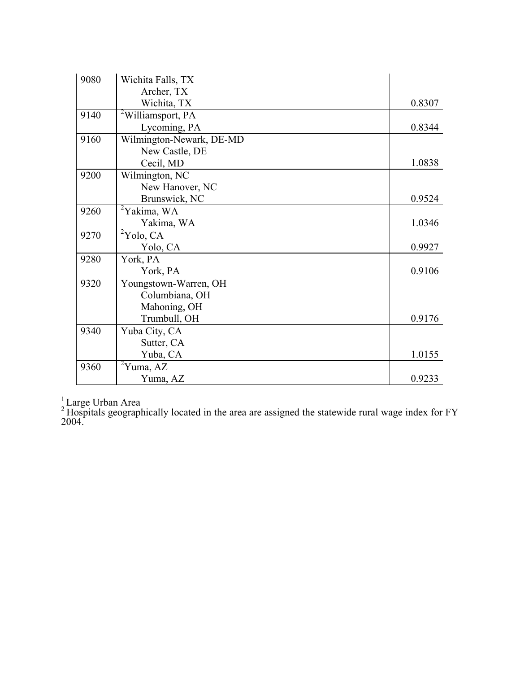| 9080 | Wichita Falls, TX             |        |
|------|-------------------------------|--------|
|      | Archer, TX                    |        |
|      | Wichita, TX                   | 0.8307 |
| 9140 | <sup>2</sup> Williamsport, PA |        |
|      | Lycoming, PA                  | 0.8344 |
| 9160 | Wilmington-Newark, DE-MD      |        |
|      | New Castle, DE                |        |
|      | Cecil, MD                     | 1.0838 |
| 9200 | Wilmington, NC                |        |
|      | New Hanover, NC               |        |
|      | Brunswick, NC                 | 0.9524 |
| 9260 | <sup>2</sup> Yakima, WA       |        |
|      | Yakima, WA                    | 1.0346 |
| 9270 | ${}^{2}$ Yolo, CA             |        |
|      | Yolo, CA                      | 0.9927 |
| 9280 | York, PA                      |        |
|      | York, PA                      | 0.9106 |
| 9320 | Youngstown-Warren, OH         |        |
|      | Columbiana, OH                |        |
|      | Mahoning, OH                  |        |
|      | Trumbull, OH                  | 0.9176 |
| 9340 | Yuba City, CA                 |        |
|      | Sutter, CA                    |        |
|      | Yuba, CA                      | 1.0155 |
| 9360 | ${}^{2}$ Yuma, AZ             |        |
|      | Yuma, AZ                      | 0.9233 |

 $\frac{1}{2}$ Large Urban Area

<sup>2</sup> Hospitals geographically located in the area are assigned the statewide rural wage index for FY 2004.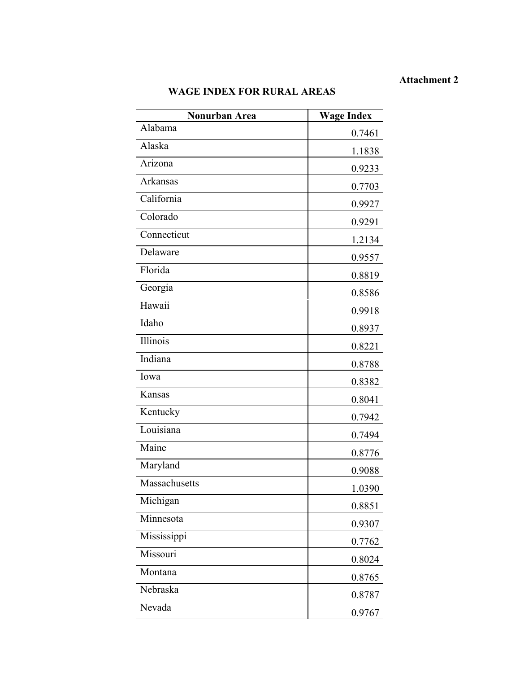## **Attachment 2**

# **WAGE INDEX FOR RURAL AREAS**

| Nonurban Area | <b>Wage Index</b> |
|---------------|-------------------|
| Alabama       | 0.7461            |
| Alaska        | 1.1838            |
| Arizona       | 0.9233            |
| Arkansas      | 0.7703            |
| California    | 0.9927            |
| Colorado      | 0.9291            |
| Connecticut   | 1.2134            |
| Delaware      | 0.9557            |
| Florida       | 0.8819            |
| Georgia       | 0.8586            |
| Hawaii        | 0.9918            |
| Idaho         | 0.8937            |
| Illinois      | 0.8221            |
| Indiana       | 0.8788            |
| Iowa          | 0.8382            |
| Kansas        | 0.8041            |
| Kentucky      | 0.7942            |
| Louisiana     | 0.7494            |
| Maine         | 0.8776            |
| Maryland      | 0.9088            |
| Massachusetts | 1.0390            |
| Michigan      | 0.8851            |
| Minnesota     | 0.9307            |
| Mississippi   | 0.7762            |
| Missouri      | 0.8024            |
| Montana       | 0.8765            |
| Nebraska      | 0.8787            |
| Nevada        | 0.9767            |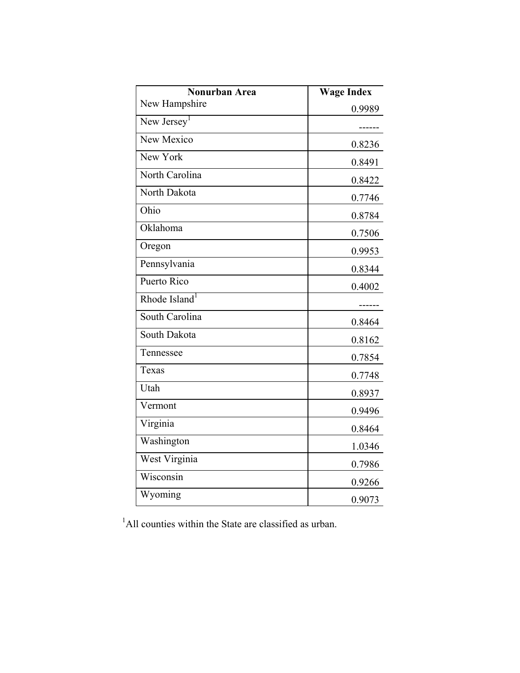| Nonurban Area             | <b>Wage Index</b> |
|---------------------------|-------------------|
| New Hampshire             | 0.9989            |
| New Jersey <sup>1</sup>   | ------            |
| New Mexico                | 0.8236            |
| New York                  | 0.8491            |
| North Carolina            | 0.8422            |
| North Dakota              | 0.7746            |
| Ohio                      | 0.8784            |
| Oklahoma                  | 0.7506            |
| Oregon                    | 0.9953            |
| Pennsylvania              | 0.8344            |
| Puerto Rico               | 0.4002            |
| Rhode Island <sup>1</sup> |                   |
| South Carolina            | 0.8464            |
| South Dakota              | 0.8162            |
| Tennessee                 | 0.7854            |
| Texas                     | 0.7748            |
| Utah                      | 0.8937            |
| Vermont                   | 0.9496            |
| Virginia                  | 0.8464            |
| Washington                | 1.0346            |
| West Virginia             | 0.7986            |
| Wisconsin                 | 0.9266            |
| Wyoming                   | 0.9073            |

 <sup>1</sup> <sup>1</sup>All counties within the State are classified as urban.